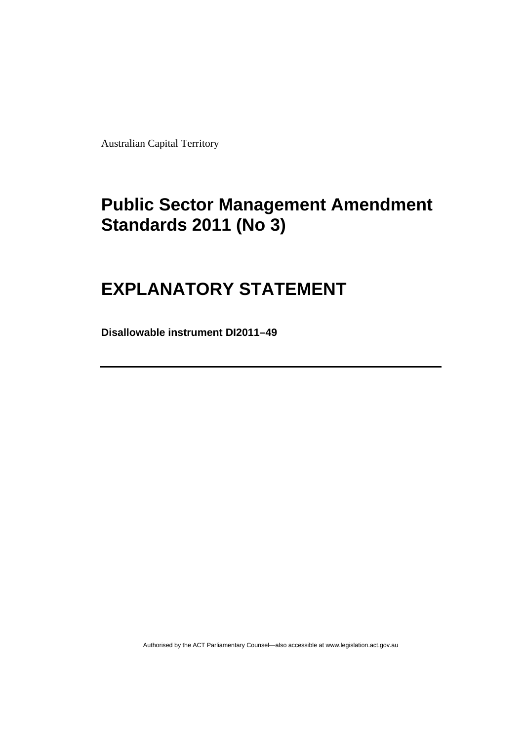Australian Capital Territory

# **[Public Sector Management Amendment](#page-2-0)  [Standards 2011 \(No 3\)](#page-2-0)**

# **[EXPLANATORY STATEMENT](#page-2-0)**

**Disallowable instrument DI2011–49**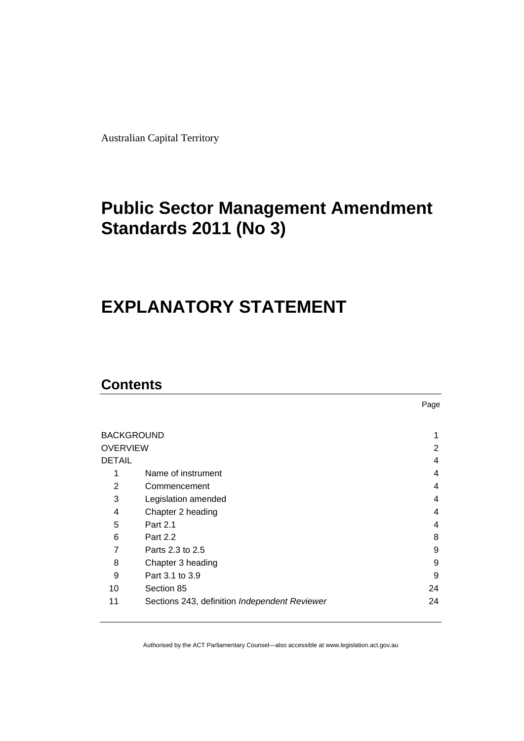<span id="page-2-0"></span>Australian Capital Territory

# **Public Sector Management Amendment Standards 2011 (No 3)**

# **EXPLANATORY STATEMENT**

## **Contents**

|                   |                                               | Page |
|-------------------|-----------------------------------------------|------|
|                   |                                               |      |
| <b>BACKGROUND</b> |                                               |      |
| <b>OVERVIEW</b>   |                                               | 2    |
| <b>DETAIL</b>     |                                               | 4    |
| 1                 | Name of instrument                            | 4    |
| 2                 | Commencement                                  | 4    |
| 3                 | Legislation amended                           | 4    |
| 4                 | Chapter 2 heading                             | 4    |
| 5                 | Part 2.1                                      | 4    |
| 6                 | Part 2.2                                      | 8    |
| 7                 | Parts 2.3 to 2.5                              | 9    |
| 8                 | Chapter 3 heading                             | 9    |
| 9                 | Part 3.1 to 3.9                               | 9    |
| 10                | Section 85                                    | 24   |
| 11                | Sections 243, definition Independent Reviewer | 24   |
|                   |                                               |      |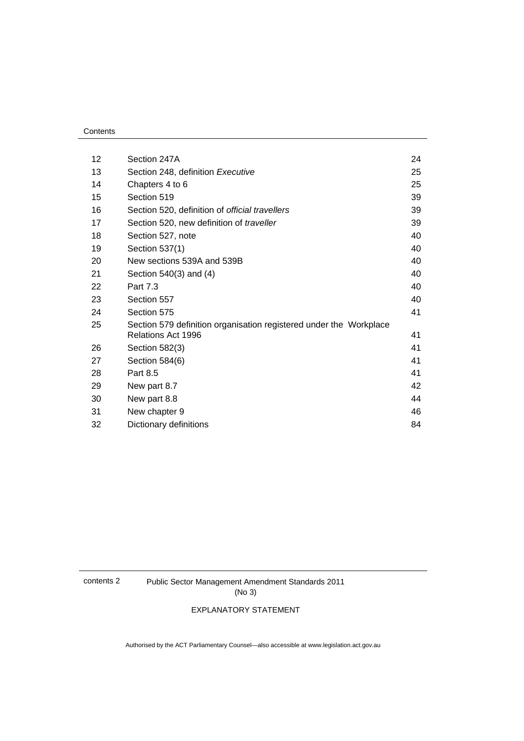#### **Contents**

| 12 | Section 247A                                                                             | 24 |
|----|------------------------------------------------------------------------------------------|----|
| 13 | Section 248, definition Executive                                                        | 25 |
| 14 | Chapters 4 to 6                                                                          | 25 |
| 15 | Section 519                                                                              | 39 |
| 16 | Section 520, definition of official travellers                                           | 39 |
| 17 | Section 520, new definition of traveller                                                 | 39 |
| 18 | Section 527, note                                                                        | 40 |
| 19 | Section 537(1)                                                                           | 40 |
| 20 | New sections 539A and 539B                                                               | 40 |
| 21 | Section 540(3) and (4)                                                                   | 40 |
| 22 | Part 7.3                                                                                 | 40 |
| 23 | Section 557                                                                              | 40 |
| 24 | Section 575                                                                              | 41 |
| 25 | Section 579 definition organisation registered under the Workplace<br>Relations Act 1996 | 41 |
| 26 | Section 582(3)                                                                           | 41 |
| 27 | Section 584(6)                                                                           | 41 |
| 28 | Part 8.5                                                                                 | 41 |
| 29 | New part 8.7                                                                             | 42 |
| 30 | New part 8.8                                                                             | 44 |
| 31 | New chapter 9                                                                            | 46 |
| 32 | Dictionary definitions                                                                   | 84 |

contents 2 Public Sector Management Amendment Standards 2011 (No 3)

EXPLANATORY STATEMENT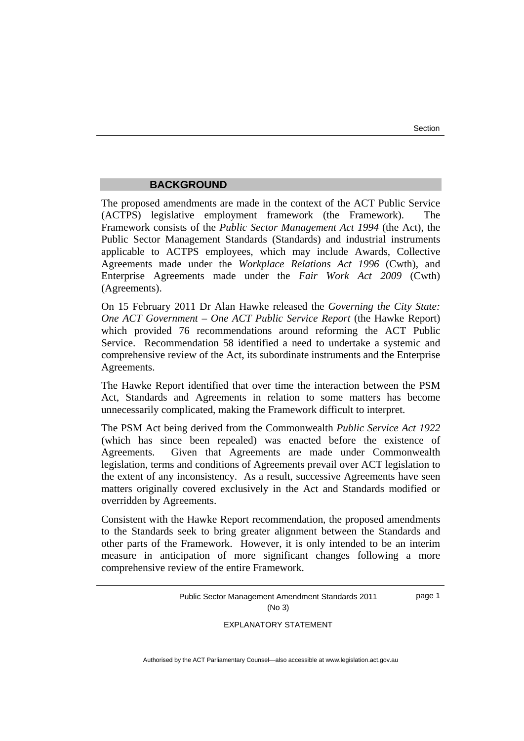#### **BACKGROUND**

<span id="page-4-0"></span>The proposed amendments are made in the context of the ACT Public Service (ACTPS) legislative employment framework (the Framework). Framework consists of the *Public Sector Management Act 1994* (the Act), the Public Sector Management Standards (Standards) and industrial instruments applicable to ACTPS employees, which may include Awards, Collective Agreements made under the *Workplace Relations Act 1996* (Cwth), and Enterprise Agreements made under the *Fair Work Act 2009* (Cwth) (Agreements).

On 15 February 2011 Dr Alan Hawke released the *Governing the City State: One ACT Government – One ACT Public Service Report* (the Hawke Report) which provided 76 recommendations around reforming the ACT Public Service. Recommendation 58 identified a need to undertake a systemic and comprehensive review of the Act, its subordinate instruments and the Enterprise Agreements.

The Hawke Report identified that over time the interaction between the PSM Act, Standards and Agreements in relation to some matters has become unnecessarily complicated, making the Framework difficult to interpret.

The PSM Act being derived from the Commonwealth *Public Service Act 1922* (which has since been repealed) was enacted before the existence of Agreements. Given that Agreements are made under Commonwealth legislation, terms and conditions of Agreements prevail over ACT legislation to the extent of any inconsistency. As a result, successive Agreements have seen matters originally covered exclusively in the Act and Standards modified or overridden by Agreements.

Consistent with the Hawke Report recommendation, the proposed amendments to the Standards seek to bring greater alignment between the Standards and other parts of the Framework. However, it is only intended to be an interim measure in anticipation of more significant changes following a more comprehensive review of the entire Framework.

> Public Sector Management Amendment Standards 2011 (No 3) page 1

> > EXPLANATORY STATEMENT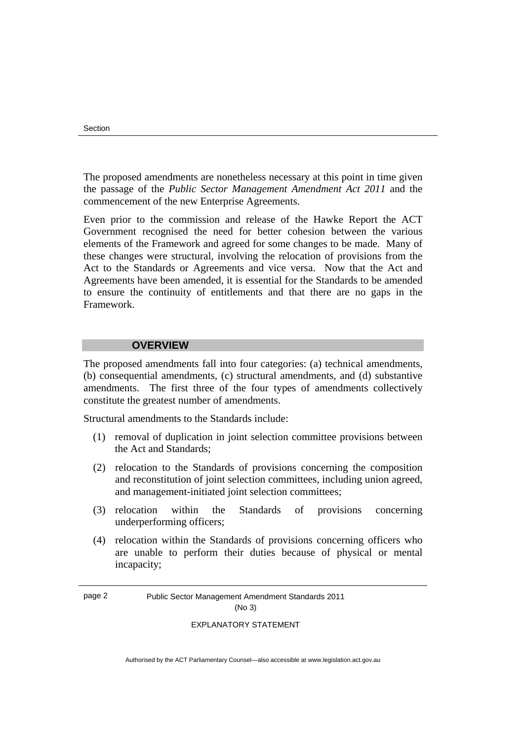<span id="page-5-0"></span>The proposed amendments are nonetheless necessary at this point in time given the passage of the *Public Sector Management Amendment Act 2011* and the commencement of the new Enterprise Agreements.

Even prior to the commission and release of the Hawke Report the ACT Government recognised the need for better cohesion between the various elements of the Framework and agreed for some changes to be made. Many of these changes were structural, involving the relocation of provisions from the Act to the Standards or Agreements and vice versa. Now that the Act and Agreements have been amended, it is essential for the Standards to be amended to ensure the continuity of entitlements and that there are no gaps in the Framework.

#### **OVERVIEW**

The proposed amendments fall into four categories: (a) technical amendments, (b) consequential amendments, (c) structural amendments, and (d) substantive amendments. The first three of the four types of amendments collectively constitute the greatest number of amendments.

Structural amendments to the Standards include:

- (1) removal of duplication in joint selection committee provisions between the Act and Standards;
- (2) relocation to the Standards of provisions concerning the composition and reconstitution of joint selection committees, including union agreed, and management-initiated joint selection committees;
- (3) relocation within the Standards of provisions concerning underperforming officers;
- (4) relocation within the Standards of provisions concerning officers who are unable to perform their duties because of physical or mental incapacity;

page 2 Public Sector Management Amendment Standards 2011 (No 3)

#### EXPLANATORY STATEMENT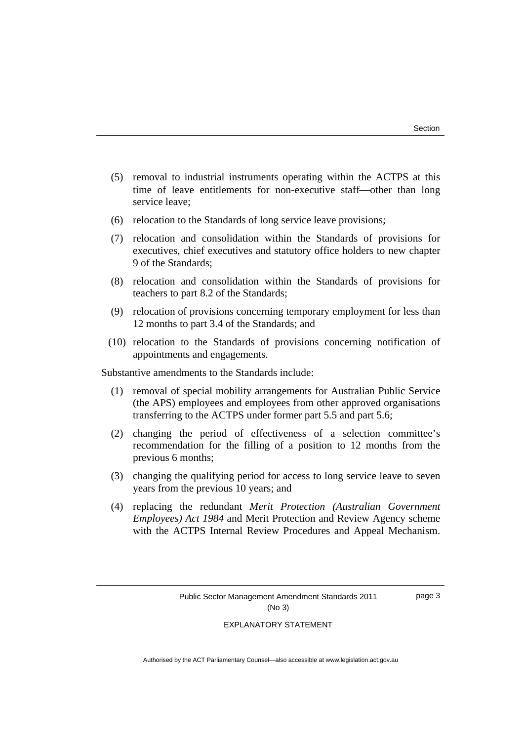- (5) removal to industrial instruments operating within the ACTPS at this time of leave entitlements for non-executive staff-other than long service leave;
- (6) relocation to the Standards of long service leave provisions;
- (7) relocation and consolidation within the Standards of provisions for executives, chief executives and statutory office holders to new chapter 9 of the Standards;
- (8) relocation and consolidation within the Standards of provisions for teachers to part 8.2 of the Standards;
- (9) relocation of provisions concerning temporary employment for less than 12 months to part 3.4 of the Standards; and
- (10) relocation to the Standards of provisions concerning notification of appointments and engagements.

Substantive amendments to the Standards include:

- (1) removal of special mobility arrangements for Australian Public Service (the APS) employees and employees from other approved organisations transferring to the ACTPS under former part 5.5 and part 5.6;
- (2) changing the period of effectiveness of a selection committee's recommendation for the filling of a position to 12 months from the previous 6 months;
- (3) changing the qualifying period for access to long service leave to seven years from the previous 10 years; and
- (4) replacing the redundant *Merit Protection (Australian Government Employees) Act 1984* and Merit Protection and Review Agency scheme with the ACTPS Internal Review Procedures and Appeal Mechanism.

page 3

#### EXPLANATORY STATEMENT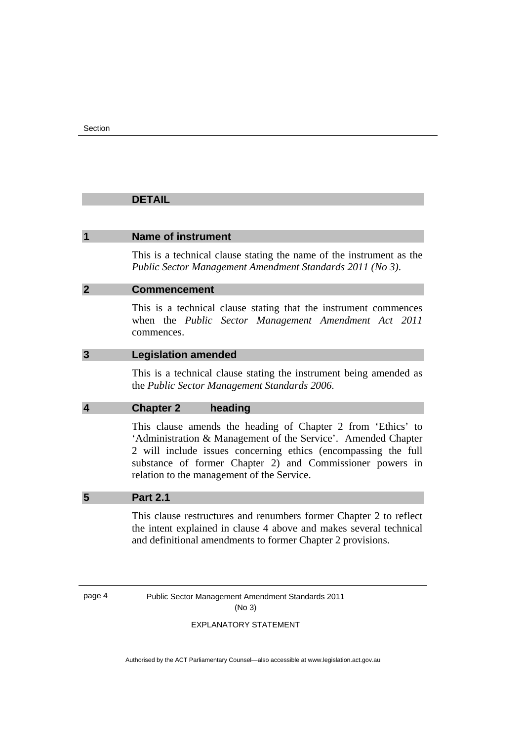#### <span id="page-7-0"></span> **DETAIL**

#### **1 Name of instrument**

This is a technical clause stating the name of the instrument as the *Public Sector Management Amendment Standards 2011 (No 3)*.

#### **2 Commencement**

This is a technical clause stating that the instrument commences when the *Public Sector Management Amendment Act 2011* commences.

#### **3 Legislation amended**

This is a technical clause stating the instrument being amended as the *Public Sector Management Standards 2006*.

#### **4 Chapter 2 heading**

This clause amends the heading of Chapter 2 from 'Ethics' to 'Administration & Management of the Service'. Amended Chapter 2 will include issues concerning ethics (encompassing the full substance of former Chapter 2) and Commissioner powers in relation to the management of the Service.

#### **5 Part 2.1**

This clause restructures and renumbers former Chapter 2 to reflect the intent explained in clause 4 above and makes several technical and definitional amendments to former Chapter 2 provisions.

page 4 Public Sector Management Amendment Standards 2011 (No 3)

#### EXPLANATORY STATEMENT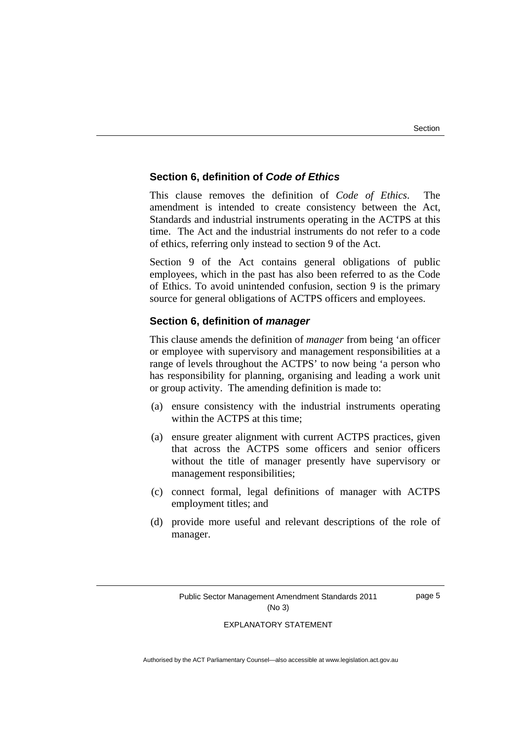#### **Section 6, definition of** *Code of Ethics*

This clause removes the definition of *Code of Ethics*. The amendment is intended to create consistency between the Act, Standards and industrial instruments operating in the ACTPS at this time. The Act and the industrial instruments do not refer to a code of ethics, referring only instead to section 9 of the Act.

Section 9 of the Act contains general obligations of public employees, which in the past has also been referred to as the Code of Ethics. To avoid unintended confusion, section 9 is the primary source for general obligations of ACTPS officers and employees.

#### **Section 6, definition of** *manager*

This clause amends the definition of *manager* from being 'an officer or employee with supervisory and management responsibilities at a range of levels throughout the ACTPS' to now being 'a person who has responsibility for planning, organising and leading a work unit or group activity. The amending definition is made to:

- (a) ensure consistency with the industrial instruments operating within the ACTPS at this time;
- (a) ensure greater alignment with current ACTPS practices, given that across the ACTPS some officers and senior officers without the title of manager presently have supervisory or management responsibilities;
- (c) connect formal, legal definitions of manager with ACTPS employment titles; and
- (d) provide more useful and relevant descriptions of the role of manager.

page 5

## EXPLANATORY STATEMENT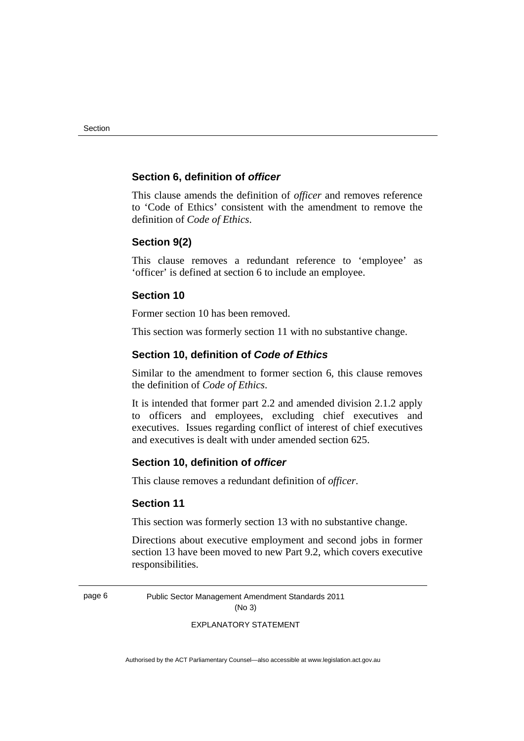#### **Section 6, definition of** *officer*

This clause amends the definition of *officer* and removes reference to 'Code of Ethics' consistent with the amendment to remove the definition of *Code of Ethics*.

#### **Section 9(2)**

This clause removes a redundant reference to 'employee' as 'officer' is defined at section 6 to include an employee.

#### **Section 10**

Former section 10 has been removed.

This section was formerly section 11 with no substantive change.

#### **Section 10, definition of** *Code of Ethics*

Similar to the amendment to former section 6, this clause removes the definition of *Code of Ethics*.

It is intended that former part 2.2 and amended division 2.1.2 apply to officers and employees, excluding chief executives and executives. Issues regarding conflict of interest of chief executives and executives is dealt with under amended section 625.

#### **Section 10, definition of** *officer*

This clause removes a redundant definition of *officer*.

#### **Section 11**

This section was formerly section 13 with no substantive change.

Directions about executive employment and second jobs in former section 13 have been moved to new Part 9.2, which covers executive responsibilities.

page 6 Public Sector Management Amendment Standards 2011 (No 3)

EXPLANATORY STATEMENT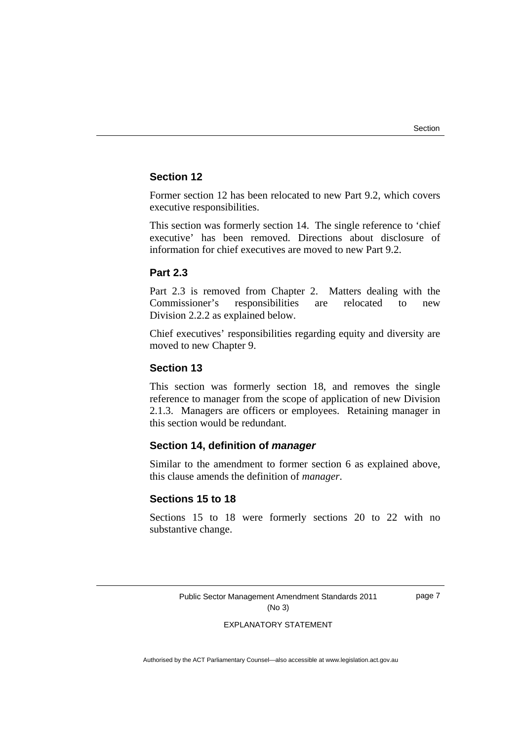#### **Section 12**

Former section 12 has been relocated to new Part 9.2, which covers executive responsibilities.

This section was formerly section 14. The single reference to 'chief executive' has been removed. Directions about disclosure of information for chief executives are moved to new Part 9.2.

#### **Part 2.3**

Part 2.3 is removed from Chapter 2. Matters dealing with the Commissioner's responsibilities are relocated to new Division 2.2.2 as explained below.

Chief executives' responsibilities regarding equity and diversity are moved to new Chapter 9.

#### **Section 13**

This section was formerly section 18, and removes the single reference to manager from the scope of application of new Division 2.1.3. Managers are officers or employees. Retaining manager in this section would be redundant.

#### **Section 14, definition of** *manager*

Similar to the amendment to former section 6 as explained above, this clause amends the definition of *manager*.

#### **Sections 15 to 18**

Sections 15 to 18 were formerly sections 20 to 22 with no substantive change.

> Public Sector Management Amendment Standards 2011 (No 3)

page 7

#### EXPLANATORY STATEMENT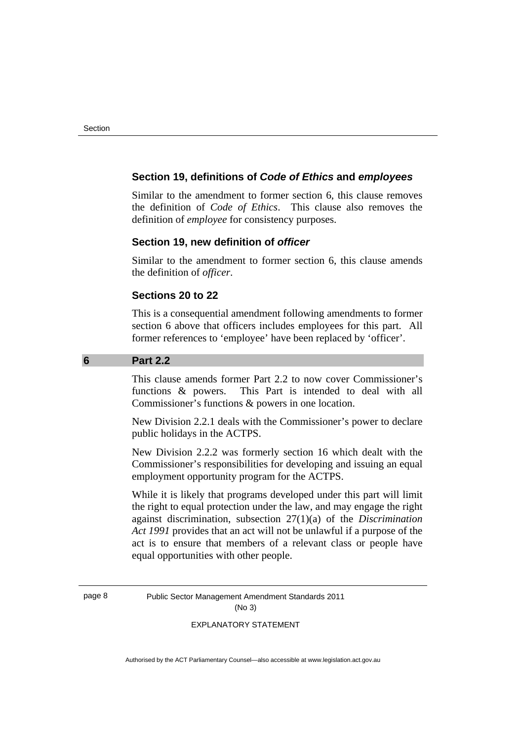#### <span id="page-11-0"></span> **Section 19, definitions of** *Code of Ethics* **and** *employees*

Similar to the amendment to former section 6, this clause removes the definition of *Code of Ethics*. This clause also removes the definition of *employee* for consistency purposes.

#### **Section 19, new definition of** *officer*

Similar to the amendment to former section 6, this clause amends the definition of *officer*.

#### **Sections 20 to 22**

This is a consequential amendment following amendments to former section 6 above that officers includes employees for this part. All former references to 'employee' have been replaced by 'officer'.

#### **6 Part 2.2**

This clause amends former Part 2.2 to now cover Commissioner's functions & powers. This Part is intended to deal with all Commissioner's functions & powers in one location.

New Division 2.2.1 deals with the Commissioner's power to declare public holidays in the ACTPS.

New Division 2.2.2 was formerly section 16 which dealt with the Commissioner's responsibilities for developing and issuing an equal employment opportunity program for the ACTPS.

While it is likely that programs developed under this part will limit the right to equal protection under the law, and may engage the right against discrimination, subsection 27(1)(a) of the *Discrimination Act 1991* provides that an act will not be unlawful if a purpose of the act is to ensure that members of a relevant class or people have equal opportunities with other people.

page 8 Public Sector Management Amendment Standards 2011 (No 3)

#### EXPLANATORY STATEMENT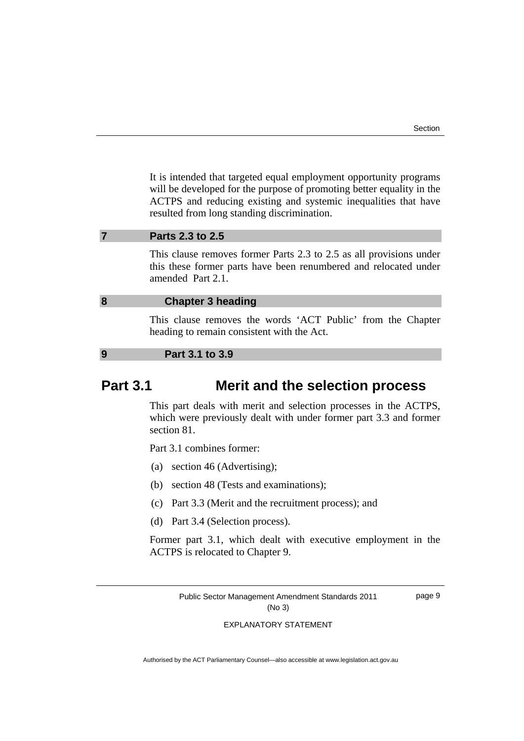<span id="page-12-0"></span>It is intended that targeted equal employment opportunity programs will be developed for the purpose of promoting better equality in the ACTPS and reducing existing and systemic inequalities that have resulted from long standing discrimination.

#### **7 Parts 2.3 to 2.5**

This clause removes former Parts 2.3 to 2.5 as all provisions under this these former parts have been renumbered and relocated under amended Part 2.1.

#### **8 Chapter 3 heading**

This clause removes the words 'ACT Public' from the Chapter heading to remain consistent with the Act.

#### **9 Part 3.1 to 3.9**

## **Part 3.1 Merit and the selection process**

This part deals with merit and selection processes in the ACTPS, which were previously dealt with under former part 3.3 and former section 81.

Part 3.1 combines former:

- (a) section 46 (Advertising);
- (b) section 48 (Tests and examinations);
- (c) Part 3.3 (Merit and the recruitment process); and
- (d) Part 3.4 (Selection process).

Former part 3.1, which dealt with executive employment in the ACTPS is relocated to Chapter 9.

> Public Sector Management Amendment Standards 2011 (No 3)

page 9

#### EXPLANATORY STATEMENT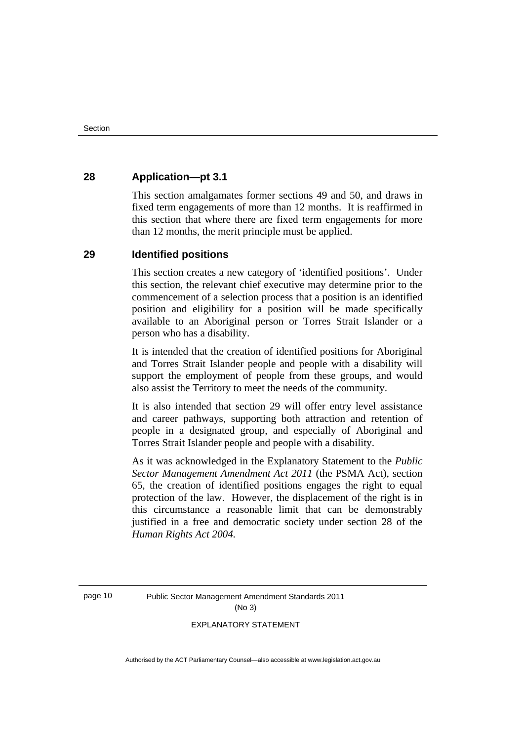#### **28 Application—pt 3.1**

This section amalgamates former sections 49 and 50, and draws in fixed term engagements of more than 12 months. It is reaffirmed in this section that where there are fixed term engagements for more than 12 months, the merit principle must be applied.

#### **29 Identified positions**

This section creates a new category of 'identified positions'. Under this section, the relevant chief executive may determine prior to the commencement of a selection process that a position is an identified position and eligibility for a position will be made specifically available to an Aboriginal person or Torres Strait Islander or a person who has a disability.

It is intended that the creation of identified positions for Aboriginal and Torres Strait Islander people and people with a disability will support the employment of people from these groups, and would also assist the Territory to meet the needs of the community.

It is also intended that section 29 will offer entry level assistance and career pathways, supporting both attraction and retention of people in a designated group, and especially of Aboriginal and Torres Strait Islander people and people with a disability.

As it was acknowledged in the Explanatory Statement to the *Public Sector Management Amendment Act 2011* (the PSMA Act), section 65, the creation of identified positions engages the right to equal protection of the law. However, the displacement of the right is in this circumstance a reasonable limit that can be demonstrably justified in a free and democratic society under section 28 of the *Human Rights Act 2004.*

page 10 Public Sector Management Amendment Standards 2011 (No 3)

#### EXPLANATORY STATEMENT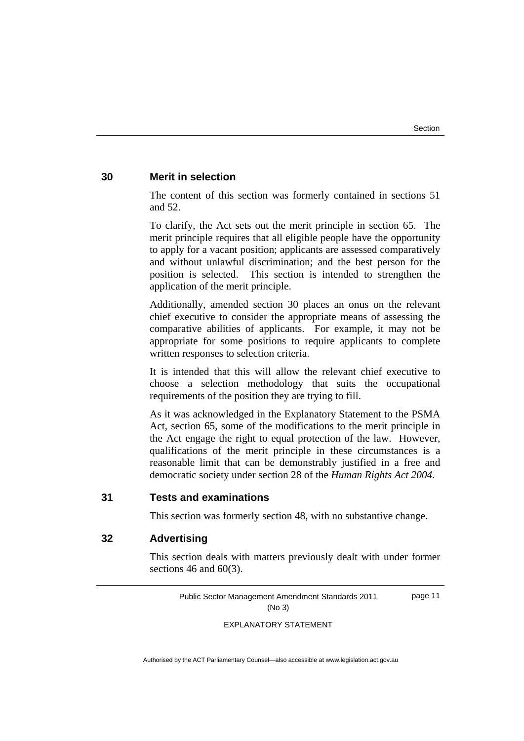page 11

#### **30 Merit in selection**

The content of this section was formerly contained in sections 51 and 52.

To clarify, the Act sets out the merit principle in section 65. The merit principle requires that all eligible people have the opportunity to apply for a vacant position; applicants are assessed comparatively and without unlawful discrimination; and the best person for the position is selected. This section is intended to strengthen the application of the merit principle.

Additionally, amended section 30 places an onus on the relevant chief executive to consider the appropriate means of assessing the comparative abilities of applicants. For example, it may not be appropriate for some positions to require applicants to complete written responses to selection criteria.

It is intended that this will allow the relevant chief executive to choose a selection methodology that suits the occupational requirements of the position they are trying to fill.

As it was acknowledged in the Explanatory Statement to the PSMA Act, section 65, some of the modifications to the merit principle in the Act engage the right to equal protection of the law. However, qualifications of the merit principle in these circumstances is a reasonable limit that can be demonstrably justified in a free and democratic society under section 28 of the *Human Rights Act 2004.*

#### **31 Tests and examinations**

This section was formerly section 48, with no substantive change.

#### **32 Advertising**

This section deals with matters previously dealt with under former sections 46 and  $60(3)$ .

> Public Sector Management Amendment Standards 2011 (No 3)

> > EXPLANATORY STATEMENT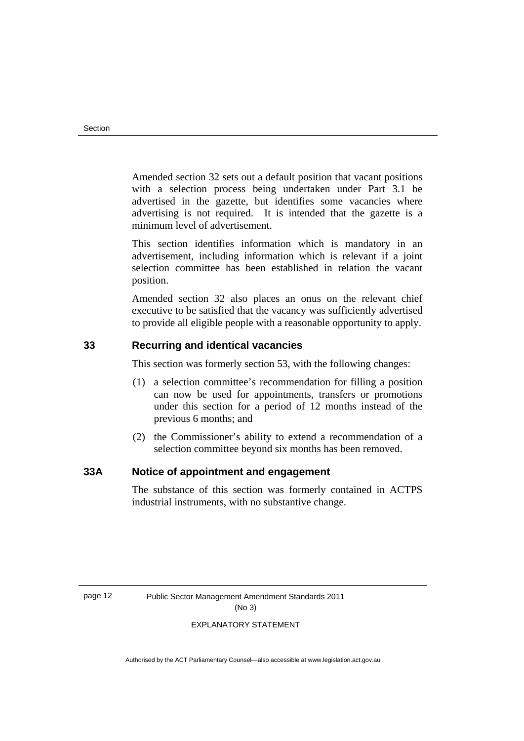Amended section 32 sets out a default position that vacant positions with a selection process being undertaken under Part 3.1 be advertised in the gazette, but identifies some vacancies where advertising is not required. It is intended that the gazette is a minimum level of advertisement.

This section identifies information which is mandatory in an advertisement, including information which is relevant if a joint selection committee has been established in relation the vacant position.

Amended section 32 also places an onus on the relevant chief executive to be satisfied that the vacancy was sufficiently advertised to provide all eligible people with a reasonable opportunity to apply.

#### **33 Recurring and identical vacancies**

This section was formerly section 53, with the following changes:

- (1) a selection committee's recommendation for filling a position can now be used for appointments, transfers or promotions under this section for a period of 12 months instead of the previous 6 months; and
- (2) the Commissioner's ability to extend a recommendation of a selection committee beyond six months has been removed.

#### **33A Notice of appointment and engagement**

The substance of this section was formerly contained in ACTPS industrial instruments, with no substantive change.

page 12 Public Sector Management Amendment Standards 2011 (No 3)

#### EXPLANATORY STATEMENT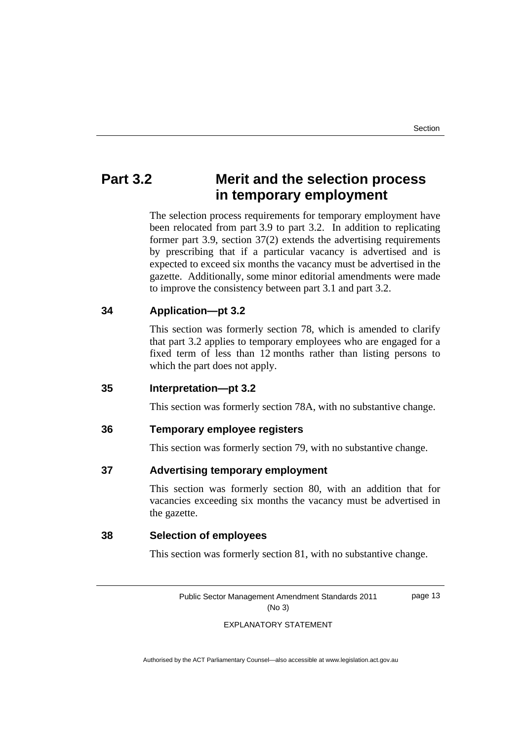## **Part 3.2 Merit and the selection process in temporary employment**

The selection process requirements for temporary employment have been relocated from part 3.9 to part 3.2. In addition to replicating former part 3.9, section 37(2) extends the advertising requirements by prescribing that if a particular vacancy is advertised and is expected to exceed six months the vacancy must be advertised in the gazette. Additionally, some minor editorial amendments were made to improve the consistency between part 3.1 and part 3.2.

#### **34 Application—pt 3.2**

This section was formerly section 78, which is amended to clarify that part 3.2 applies to temporary employees who are engaged for a fixed term of less than 12 months rather than listing persons to which the part does not apply.

#### **35 Interpretation—pt 3.2**

This section was formerly section 78A, with no substantive change.

#### **36 Temporary employee registers**

This section was formerly section 79, with no substantive change.

#### **37 Advertising temporary employment**

 This section was formerly section 80, with an addition that for vacancies exceeding six months the vacancy must be advertised in the gazette.

#### **38 Selection of employees**

This section was formerly section 81, with no substantive change.

Public Sector Management Amendment Standards 2011 (No 3)

page 13

#### EXPLANATORY STATEMENT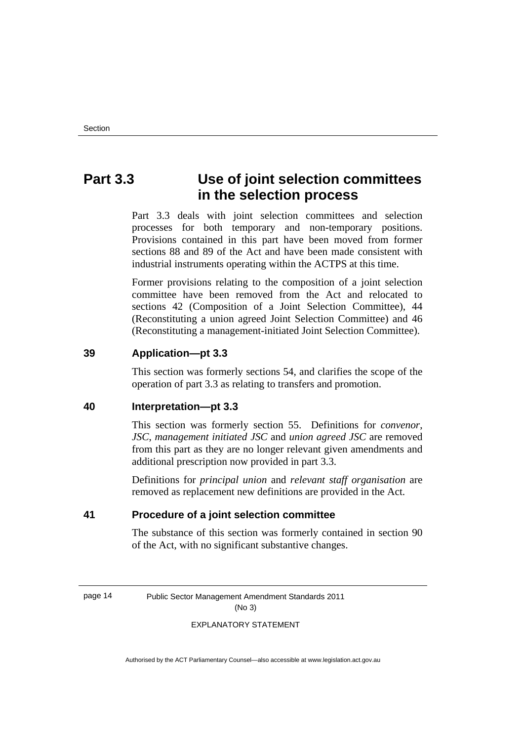## **Part 3.3 Use of joint selection committees in the selection process**

Part 3.3 deals with joint selection committees and selection processes for both temporary and non-temporary positions. Provisions contained in this part have been moved from former sections 88 and 89 of the Act and have been made consistent with industrial instruments operating within the ACTPS at this time.

Former provisions relating to the composition of a joint selection committee have been removed from the Act and relocated to sections 42 (Composition of a Joint Selection Committee), 44 (Reconstituting a union agreed Joint Selection Committee) and 46 (Reconstituting a management-initiated Joint Selection Committee).

#### **39 Application—pt 3.3**

This section was formerly sections 54, and clarifies the scope of the operation of part 3.3 as relating to transfers and promotion.

#### **40 Interpretation—pt 3.3**

This section was formerly section 55. Definitions for *convenor*, *JSC*, *management initiated JSC* and *union agreed JSC* are removed from this part as they are no longer relevant given amendments and additional prescription now provided in part 3.3.

Definitions for *principal union* and *relevant staff organisation* are removed as replacement new definitions are provided in the Act.

#### **41 Procedure of a joint selection committee**

The substance of this section was formerly contained in section 90 of the Act, with no significant substantive changes.

page 14 Public Sector Management Amendment Standards 2011 (No 3)

#### EXPLANATORY STATEMENT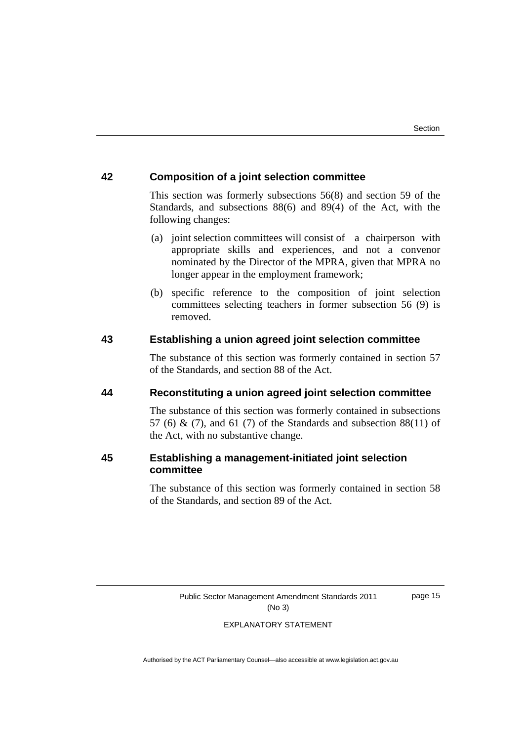#### **42 Composition of a joint selection committee**

This section was formerly subsections 56(8) and section 59 of the Standards, and subsections 88(6) and 89(4) of the Act, with the following changes:

- (a) joint selection committees will consist of a chairperson with appropriate skills and experiences, and not a convenor nominated by the Director of the MPRA, given that MPRA no longer appear in the employment framework;
- (b) specific reference to the composition of joint selection committees selecting teachers in former subsection 56 (9) is removed.

#### **43 Establishing a union agreed joint selection committee**

The substance of this section was formerly contained in section 57 of the Standards, and section 88 of the Act.

#### **44 Reconstituting a union agreed joint selection committee**

The substance of this section was formerly contained in subsections 57 (6) & (7), and 61 (7) of the Standards and subsection  $88(11)$  of the Act, with no substantive change.

#### **45 Establishing a management-initiated joint selection committee**

The substance of this section was formerly contained in section 58 of the Standards, and section 89 of the Act.

Public Sector Management Amendment Standards 2011 (No 3)

page 15

#### EXPLANATORY STATEMENT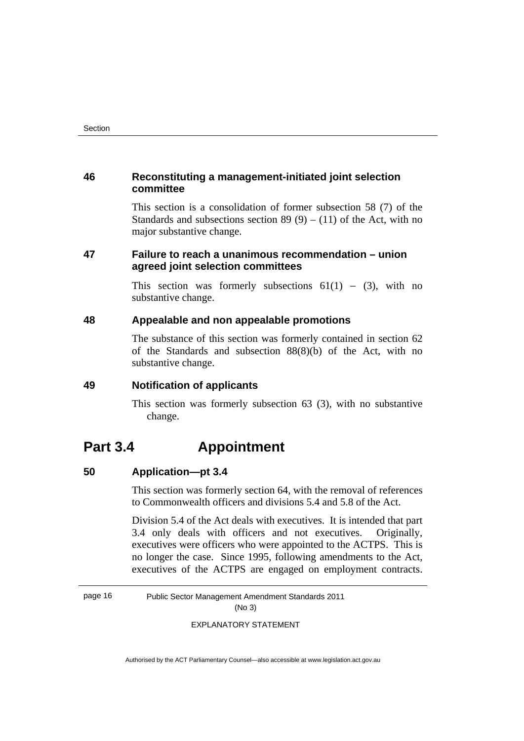#### **46 Reconstituting a management-initiated joint selection committee**

This section is a consolidation of former subsection 58 (7) of the Standards and subsections section 89 (9) – (11) of the Act, with no major substantive change.

#### **47 Failure to reach a unanimous recommendation – union agreed joint selection committees**

This section was formerly subsections  $61(1) - (3)$ , with no substantive change.

#### **48 Appealable and non appealable promotions**

The substance of this section was formerly contained in section 62 of the Standards and subsection 88(8)(b) of the Act, with no substantive change.

#### **49 Notification of applicants**

 This section was formerly subsection 63 (3), with no substantive change.

## **Part 3.4 Appointment**

#### **50 Application—pt 3.4**

This section was formerly section 64, with the removal of references to Commonwealth officers and divisions 5.4 and 5.8 of the Act.

Division 5.4 of the Act deals with executives. It is intended that part 3.4 only deals with officers and not executives. Originally, executives were officers who were appointed to the ACTPS. This is no longer the case. Since 1995, following amendments to the Act, executives of the ACTPS are engaged on employment contracts.

page 16 Public Sector Management Amendment Standards 2011 (No 3)

EXPLANATORY STATEMENT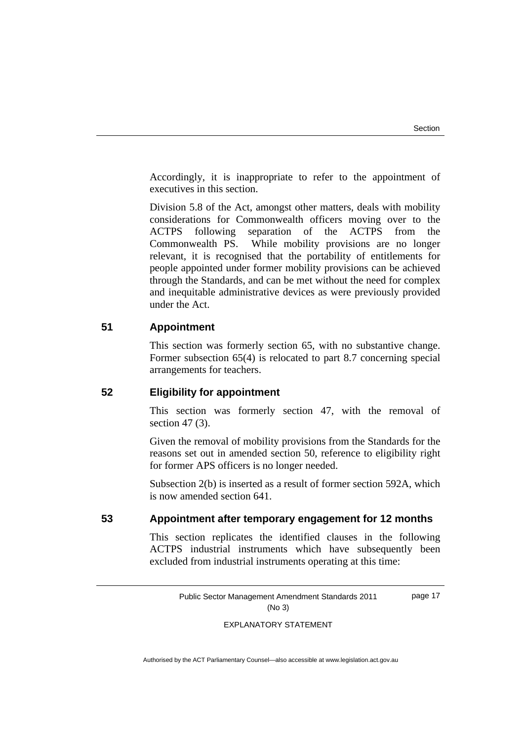Accordingly, it is inappropriate to refer to the appointment of executives in this section.

Division 5.8 of the Act, amongst other matters, deals with mobility considerations for Commonwealth officers moving over to the ACTPS following separation of the ACTPS from the Commonwealth PS. While mobility provisions are no longer relevant, it is recognised that the portability of entitlements for people appointed under former mobility provisions can be achieved through the Standards, and can be met without the need for complex and inequitable administrative devices as were previously provided under the Act.

#### **51 Appointment**

This section was formerly section 65, with no substantive change. Former subsection 65(4) is relocated to part 8.7 concerning special arrangements for teachers.

#### **52 Eligibility for appointment**

This section was formerly section 47, with the removal of section 47 (3).

Given the removal of mobility provisions from the Standards for the reasons set out in amended section 50, reference to eligibility right for former APS officers is no longer needed.

Subsection 2(b) is inserted as a result of former section 592A, which is now amended section 641.

#### **53 Appointment after temporary engagement for 12 months**

This section replicates the identified clauses in the following ACTPS industrial instruments which have subsequently been excluded from industrial instruments operating at this time:

> Public Sector Management Amendment Standards 2011 (No 3) page 17

#### EXPLANATORY STATEMENT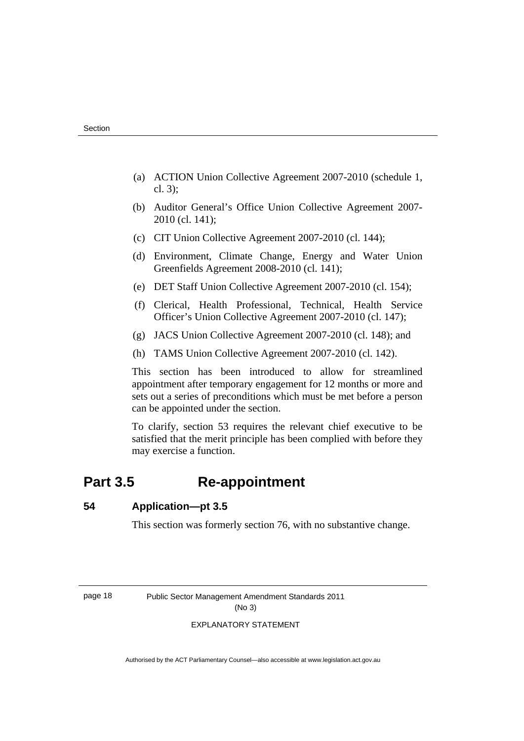- (a) ACTION Union Collective Agreement 2007-2010 (schedule 1, cl. 3);
- (b) Auditor General's Office Union Collective Agreement 2007- 2010 (cl. 141);
- (c) CIT Union Collective Agreement 2007-2010 (cl. 144);
- (d) Environment, Climate Change, Energy and Water Union Greenfields Agreement 2008-2010 (cl. 141);
- (e) DET Staff Union Collective Agreement 2007-2010 (cl. 154);
- (f) Clerical, Health Professional, Technical, Health Service Officer's Union Collective Agreement 2007-2010 (cl. 147);
- (g) JACS Union Collective Agreement 2007-2010 (cl. 148); and
- (h) TAMS Union Collective Agreement 2007-2010 (cl. 142).

This section has been introduced to allow for streamlined appointment after temporary engagement for 12 months or more and sets out a series of preconditions which must be met before a person can be appointed under the section.

To clarify, section 53 requires the relevant chief executive to be satisfied that the merit principle has been complied with before they may exercise a function.

## **Part 3.5 Re-appointment**

#### **54 Application—pt 3.5**

This section was formerly section 76, with no substantive change.

page 18 Public Sector Management Amendment Standards 2011 (No 3)

#### EXPLANATORY STATEMENT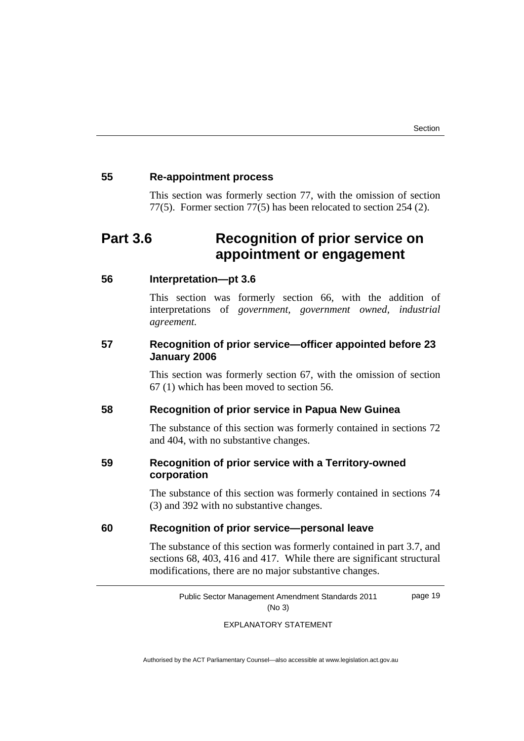#### **55 Re-appointment process**

 This section was formerly section 77, with the omission of section 77(5). Former section 77(5) has been relocated to section 254 (2).

## **Part 3.6 Recognition of prior service on appointment or engagement**

#### **56 Interpretation—pt 3.6**

This section was formerly section 66, with the addition of interpretations of *government, government owned, industrial agreement.*

#### **57 Recognition of prior service—officer appointed before 23 January 2006**

This section was formerly section 67, with the omission of section 67 (1) which has been moved to section 56.

#### **58 Recognition of prior service in Papua New Guinea**

The substance of this section was formerly contained in sections 72 and 404, with no substantive changes.

#### **59 Recognition of prior service with a Territory-owned corporation**

 The substance of this section was formerly contained in sections 74 (3) and 392 with no substantive changes.

#### **60 Recognition of prior service—personal leave**

 The substance of this section was formerly contained in part 3.7, and sections 68, 403, 416 and 417. While there are significant structural modifications, there are no major substantive changes.

> Public Sector Management Amendment Standards 2011 (No 3) page 19

> > EXPLANATORY STATEMENT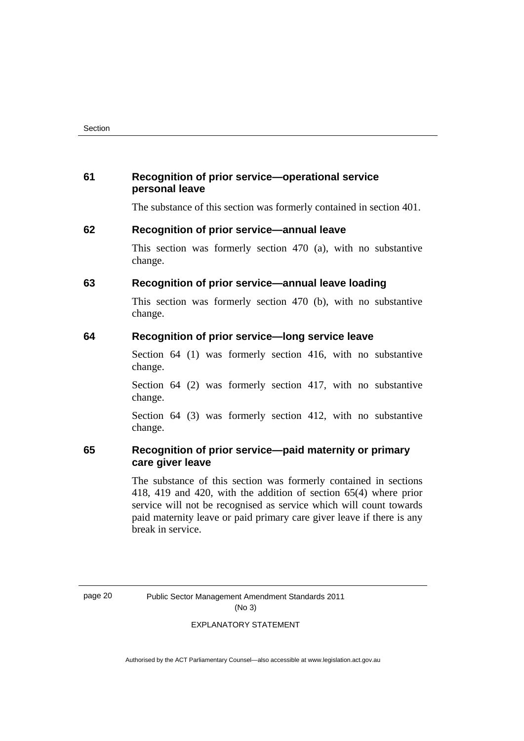#### **61 Recognition of prior service—operational service personal leave**

The substance of this section was formerly contained in section 401.

#### **62 Recognition of prior service—annual leave**

 This section was formerly section 470 (a), with no substantive change.

#### **63 Recognition of prior service—annual leave loading**

 This section was formerly section 470 (b), with no substantive change.

#### **64 Recognition of prior service—long service leave**

Section 64 (1) was formerly section 416, with no substantive change.

Section 64 (2) was formerly section 417, with no substantive change.

Section 64 (3) was formerly section 412, with no substantive change.

#### **65 Recognition of prior service—paid maternity or primary care giver leave**

 The substance of this section was formerly contained in sections 418, 419 and 420, with the addition of section 65(4) where prior service will not be recognised as service which will count towards paid maternity leave or paid primary care giver leave if there is any break in service.

page 20 Public Sector Management Amendment Standards 2011 (No 3)

EXPLANATORY STATEMENT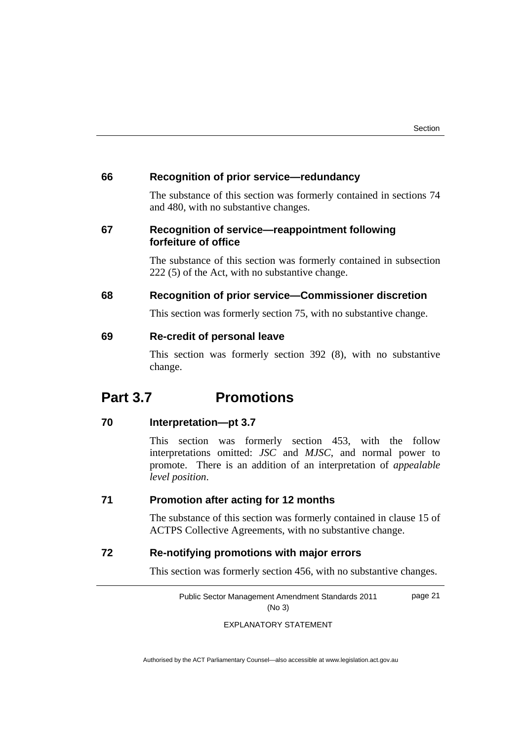#### **66 Recognition of prior service—redundancy**

 The substance of this section was formerly contained in sections 74 and 480, with no substantive changes.

#### **67 Recognition of service—reappointment following forfeiture of office**

The substance of this section was formerly contained in subsection 222 (5) of the Act, with no substantive change.

#### **68 Recognition of prior service—Commissioner discretion**

This section was formerly section 75, with no substantive change.

#### **69 Re-credit of personal leave**

This section was formerly section 392 (8), with no substantive change.

## **Part 3.7 Promotions**

#### **70 Interpretation—pt 3.7**

This section was formerly section 453, with the follow interpretations omitted: *JSC* and *MJSC*, and normal power to promote. There is an addition of an interpretation of *appealable level position*.

#### **71 Promotion after acting for 12 months**

 The substance of this section was formerly contained in clause 15 of ACTPS Collective Agreements, with no substantive change.

#### **72 Re-notifying promotions with major errors**

This section was formerly section 456, with no substantive changes.

Public Sector Management Amendment Standards 2011 (No 3) page 21

EXPLANATORY STATEMENT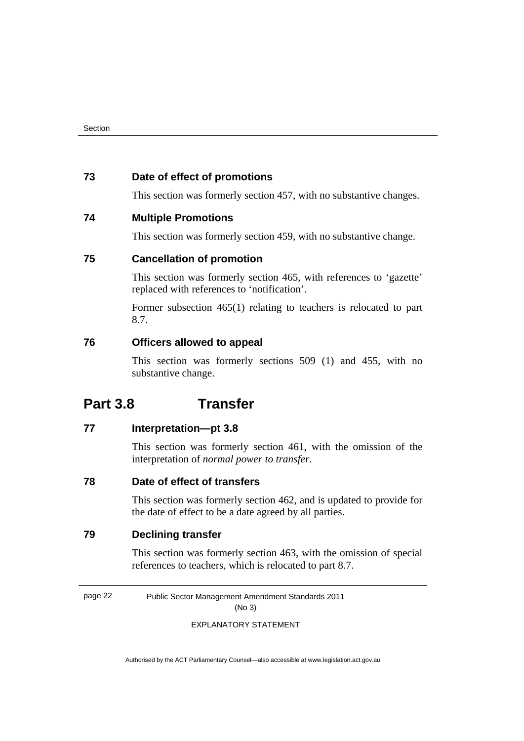#### **73 Date of effect of promotions**

This section was formerly section 457, with no substantive changes.

#### **74 Multiple Promotions**

This section was formerly section 459, with no substantive change.

#### **75 Cancellation of promotion**

 This section was formerly section 465, with references to 'gazette' replaced with references to 'notification'.

Former subsection 465(1) relating to teachers is relocated to part 8.7.

#### **76 Officers allowed to appeal**

This section was formerly sections 509 (1) and 455, with no substantive change.

## **Part 3.8 Transfer**

#### **77 Interpretation—pt 3.8**

This section was formerly section 461, with the omission of the interpretation of *normal power to transfer*.

#### **78 Date of effect of transfers**

This section was formerly section 462, and is updated to provide for the date of effect to be a date agreed by all parties.

### **79 Declining transfer**

 This section was formerly section 463, with the omission of special references to teachers, which is relocated to part 8.7.

page 22 Public Sector Management Amendment Standards 2011 (No 3)

EXPLANATORY STATEMENT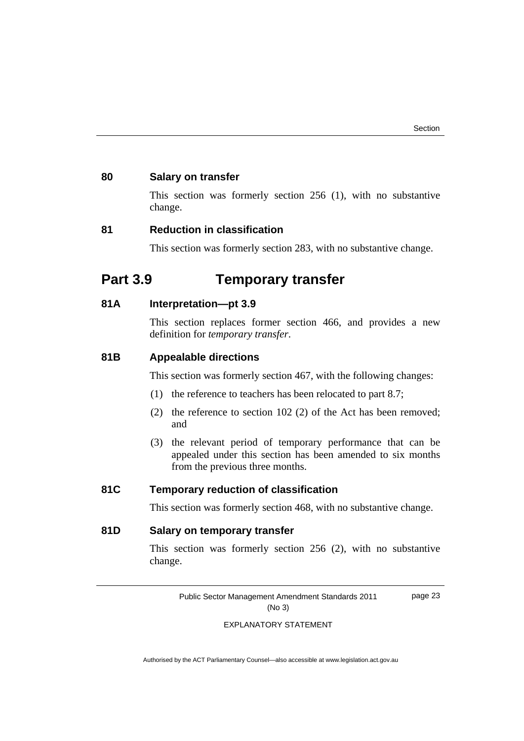page 23

#### **80 Salary on transfer**

This section was formerly section 256 (1), with no substantive change.

#### **81 Reduction in classification**

This section was formerly section 283, with no substantive change.

## **Part 3.9 Temporary transfer**

#### **81A Interpretation—pt 3.9**

This section replaces former section 466, and provides a new definition for *temporary transfer*.

#### **81B Appealable directions**

This section was formerly section 467, with the following changes:

- (1) the reference to teachers has been relocated to part 8.7;
- (2) the reference to section 102 (2) of the Act has been removed; and
- (3) the relevant period of temporary performance that can be appealed under this section has been amended to six months from the previous three months.

### **81C Temporary reduction of classification**

This section was formerly section 468, with no substantive change.

#### **81D Salary on temporary transfer**

This section was formerly section 256 (2), with no substantive change.

Public Sector Management Amendment Standards 2011 (No 3)

EXPLANATORY STATEMENT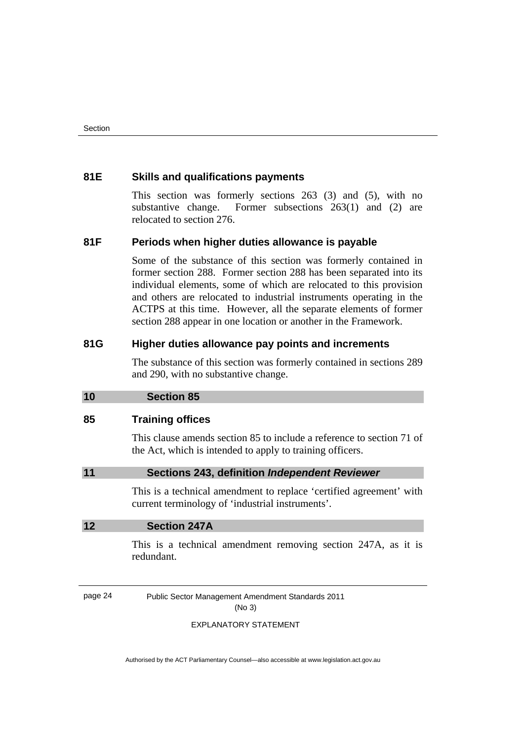#### <span id="page-27-0"></span>**81E Skills and qualifications payments**

 This section was formerly sections 263 (3) and (5), with no substantive change. Former subsections 263(1) and (2) are relocated to section 276.

#### **81F Periods when higher duties allowance is payable**

 Some of the substance of this section was formerly contained in former section 288. Former section 288 has been separated into its individual elements, some of which are relocated to this provision and others are relocated to industrial instruments operating in the ACTPS at this time. However, all the separate elements of former section 288 appear in one location or another in the Framework.

#### **81G Higher duties allowance pay points and increments**

The substance of this section was formerly contained in sections 289 and 290, with no substantive change.

#### **10 Section 85**

#### **85 Training offices**

This clause amends section 85 to include a reference to section 71 of the Act, which is intended to apply to training officers.

#### **11 Sections 243, definition** *Independent Reviewer*

This is a technical amendment to replace 'certified agreement' with current terminology of 'industrial instruments'.

#### **12 Section 247A**

This is a technical amendment removing section 247A, as it is redundant.

page 24 Public Sector Management Amendment Standards 2011 (No 3)

#### EXPLANATORY STATEMENT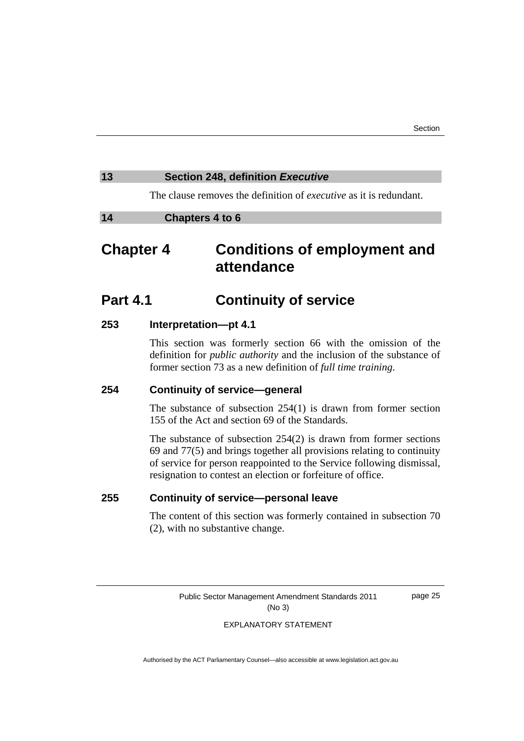#### <span id="page-28-0"></span>**13 Section 248, definition** *Executive*

The clause removes the definition of *executive* as it is redundant.

#### **14 Chapters 4 to 6**

## **Chapter 4 Conditions of employment and attendance**

## **Part 4.1 Continuity of service**

#### **253 Interpretation—pt 4.1**

This section was formerly section 66 with the omission of the definition for *public authority* and the inclusion of the substance of former section 73 as a new definition of *full time training*.

#### **254 Continuity of service—general**

 The substance of subsection 254(1) is drawn from former section 155 of the Act and section 69 of the Standards.

The substance of subsection 254(2) is drawn from former sections 69 and 77(5) and brings together all provisions relating to continuity of service for person reappointed to the Service following dismissal, resignation to contest an election or forfeiture of office.

#### **255 Continuity of service—personal leave**

The content of this section was formerly contained in subsection 70 (2), with no substantive change.

> Public Sector Management Amendment Standards 2011 (No 3)

page 25

#### EXPLANATORY STATEMENT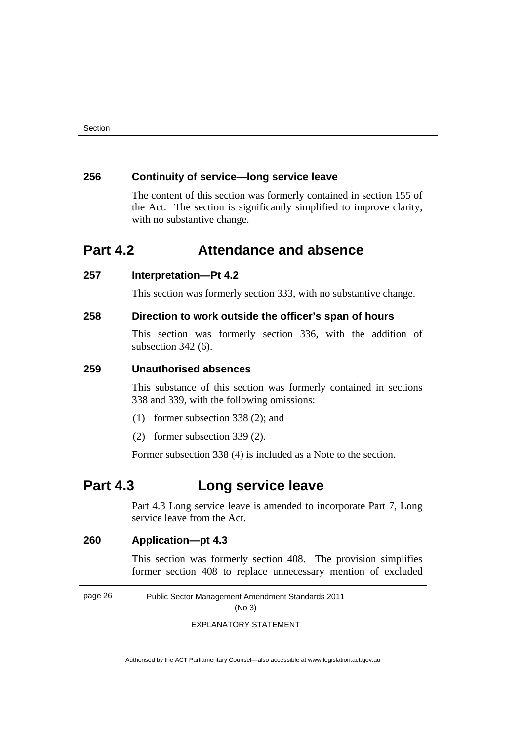#### **256 Continuity of service—long service leave**

 The content of this section was formerly contained in section 155 of the Act. The section is significantly simplified to improve clarity, with no substantive change.

## **Part 4.2 Attendance and absence**

#### **257 Interpretation—Pt 4.2**

This section was formerly section 333, with no substantive change.

#### **258 Direction to work outside the officer's span of hours**

 This section was formerly section 336, with the addition of subsection 342 (6).

#### **259 Unauthorised absences**

 This substance of this section was formerly contained in sections 338 and 339, with the following omissions:

- (1) former subsection 338 (2); and
- (2) former subsection 339 (2).

Former subsection 338 (4) is included as a Note to the section.

## **Part 4.3 Long service leave**

Part 4.3 Long service leave is amended to incorporate Part 7, Long service leave from the Act.

#### **260 Application—pt 4.3**

This section was formerly section 408. The provision simplifies former section 408 to replace unnecessary mention of excluded

page 26 Public Sector Management Amendment Standards 2011

(No 3)

EXPLANATORY STATEMENT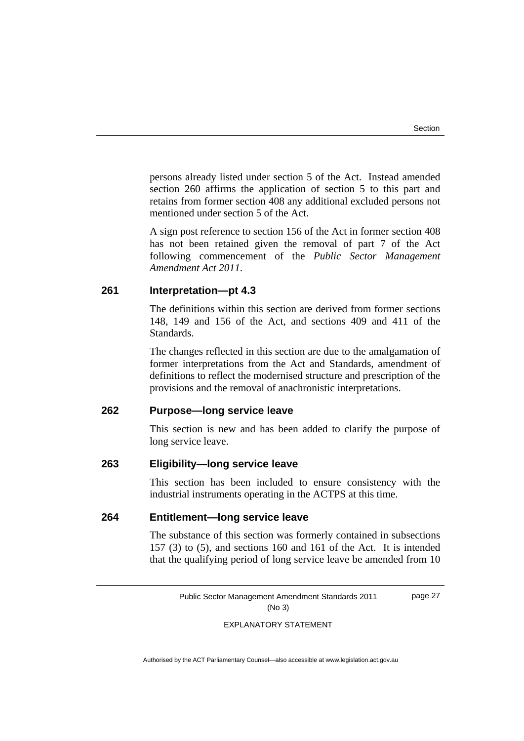persons already listed under section 5 of the Act. Instead amended section 260 affirms the application of section 5 to this part and retains from former section 408 any additional excluded persons not mentioned under section 5 of the Act.

A sign post reference to section 156 of the Act in former section 408 has not been retained given the removal of part 7 of the Act following commencement of the *Public Sector Management Amendment Act 2011*.

#### **261 Interpretation—pt 4.3**

The definitions within this section are derived from former sections 148, 149 and 156 of the Act, and sections 409 and 411 of the Standards.

The changes reflected in this section are due to the amalgamation of former interpretations from the Act and Standards, amendment of definitions to reflect the modernised structure and prescription of the provisions and the removal of anachronistic interpretations.

#### **262 Purpose—long service leave**

This section is new and has been added to clarify the purpose of long service leave.

#### **263 Eligibility—long service leave**

This section has been included to ensure consistency with the industrial instruments operating in the ACTPS at this time.

### **264 Entitlement—long service leave**

 The substance of this section was formerly contained in subsections 157 (3) to (5), and sections 160 and 161 of the Act. It is intended that the qualifying period of long service leave be amended from 10

Public Sector Management Amendment Standards 2011 (No 3) page 27

EXPLANATORY STATEMENT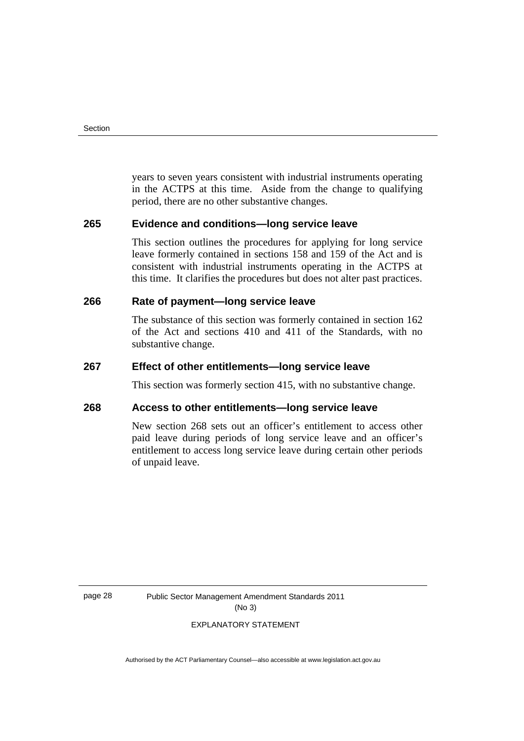years to seven years consistent with industrial instruments operating in the ACTPS at this time. Aside from the change to qualifying period, there are no other substantive changes.

#### **265 Evidence and conditions—long service leave**

 This section outlines the procedures for applying for long service leave formerly contained in sections 158 and 159 of the Act and is consistent with industrial instruments operating in the ACTPS at this time. It clarifies the procedures but does not alter past practices.

#### **266 Rate of payment—long service leave**

 The substance of this section was formerly contained in section 162 of the Act and sections 410 and 411 of the Standards, with no substantive change.

#### **267 Effect of other entitlements—long service leave**

This section was formerly section 415, with no substantive change.

#### **268 Access to other entitlements—long service leave**

 New section 268 sets out an officer's entitlement to access other paid leave during periods of long service leave and an officer's entitlement to access long service leave during certain other periods of unpaid leave.

page 28 Public Sector Management Amendment Standards 2011 (No 3)

#### EXPLANATORY STATEMENT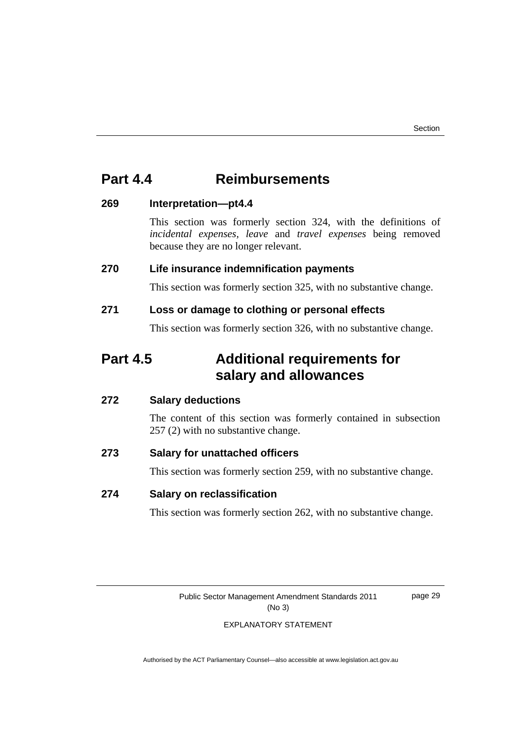## **Part 4.4 Reimbursements**

#### **269 Interpretation—pt4.4**

This section was formerly section 324, with the definitions of *incidental expenses, leave* and *travel expenses* being removed because they are no longer relevant.

### **270 Life insurance indemnification payments**

This section was formerly section 325, with no substantive change.

### **271 Loss or damage to clothing or personal effects**

This section was formerly section 326, with no substantive change.

## **Part 4.5 Additional requirements for salary and allowances**

### **272 Salary deductions**

The content of this section was formerly contained in subsection 257 (2) with no substantive change.

### **273 Salary for unattached officers**

This section was formerly section 259, with no substantive change.

### **274 Salary on reclassification**

This section was formerly section 262, with no substantive change.

Public Sector Management Amendment Standards 2011 (No 3)

page 29

#### EXPLANATORY STATEMENT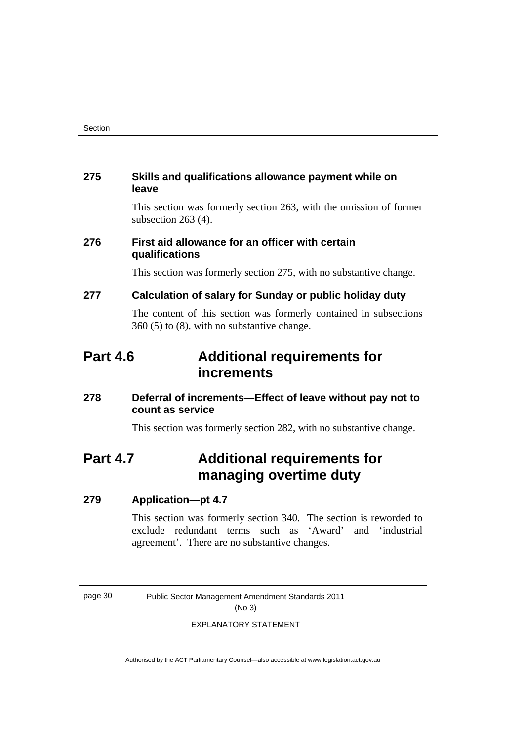#### **275 Skills and qualifications allowance payment while on leave**

 This section was formerly section 263, with the omission of former subsection 263 (4).

### **276 First aid allowance for an officer with certain qualifications**

This section was formerly section 275, with no substantive change.

#### **277 Calculation of salary for Sunday or public holiday duty**

 The content of this section was formerly contained in subsections 360 (5) to (8), with no substantive change.

## **Part 4.6 Additional requirements for increments**

### **278 Deferral of increments—Effect of leave without pay not to count as service**

This section was formerly section 282, with no substantive change.

## **Part 4.7 Additional requirements for managing overtime duty**

#### **279 Application—pt 4.7**

This section was formerly section 340. The section is reworded to exclude redundant terms such as 'Award' and 'industrial agreement'. There are no substantive changes.

page 30 Public Sector Management Amendment Standards 2011 (No 3)

#### EXPLANATORY STATEMENT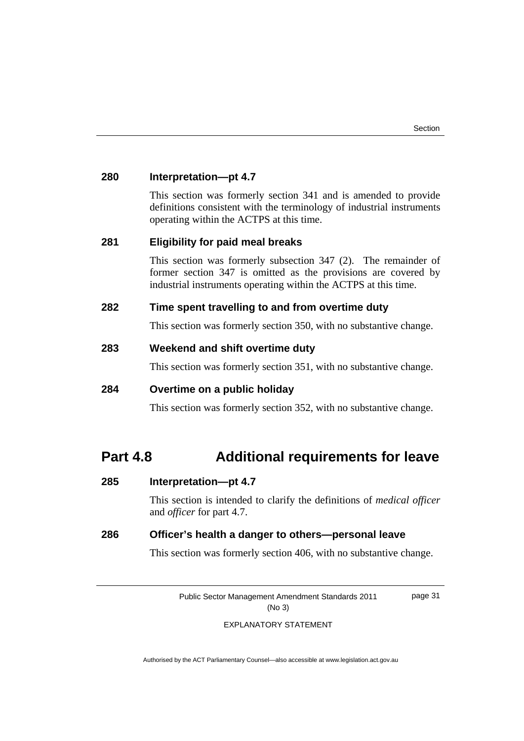page 31

| 280 | Interpretation-pt 4.7                                                                                                                                                                                 |
|-----|-------------------------------------------------------------------------------------------------------------------------------------------------------------------------------------------------------|
|     | This section was formerly section 341 and is amended to provide<br>definitions consistent with the terminology of industrial instruments<br>operating within the ACTPS at this time.                  |
| 281 | <b>Eligibility for paid meal breaks</b>                                                                                                                                                               |
|     | This section was formerly subsection $347$ (2). The remainder of<br>former section 347 is omitted as the provisions are covered by<br>industrial instruments operating within the ACTPS at this time. |
| 282 | Time spent travelling to and from overtime duty                                                                                                                                                       |
|     | This section was formerly section 350, with no substantive change.                                                                                                                                    |
| 283 | Weekend and shift overtime duty                                                                                                                                                                       |
|     | This section was formerly section 351, with no substantive change.                                                                                                                                    |
| 284 | Overtime on a public holiday                                                                                                                                                                          |
|     | This section was formerly section 352, with no substantive change.                                                                                                                                    |
|     |                                                                                                                                                                                                       |

## **Part 4.8 Additional requirements for leave**

### **285 Interpretation—pt 4.7**

This section is intended to clarify the definitions of *medical officer* and *officer* for part 4.7.

## **286 Officer's health a danger to others—personal leave**

This section was formerly section 406, with no substantive change.

Public Sector Management Amendment Standards 2011 (No 3)

EXPLANATORY STATEMENT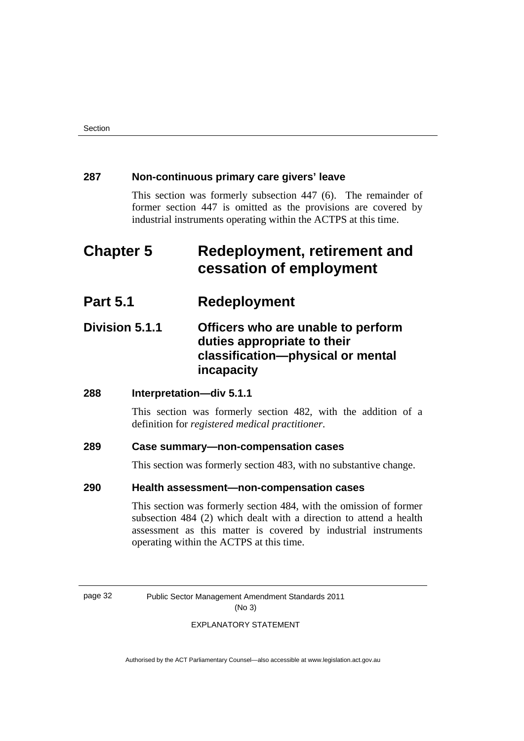#### **287 Non-continuous primary care givers' leave**

This section was formerly subsection 447 (6). The remainder of former section 447 is omitted as the provisions are covered by industrial instruments operating within the ACTPS at this time.

## **Chapter 5 Redeployment, retirement and cessation of employment**

## **Part 5.1 Redeployment**

## **Division 5.1.1 Officers who are unable to perform duties appropriate to their classification—physical or mental incapacity**

#### **288 Interpretation—div 5.1.1**

This section was formerly section 482, with the addition of a definition for *registered medical practitioner*.

#### **289 Case summary—non-compensation cases**

This section was formerly section 483, with no substantive change.

#### **290 Health assessment—non-compensation cases**

 This section was formerly section 484, with the omission of former subsection 484 (2) which dealt with a direction to attend a health assessment as this matter is covered by industrial instruments operating within the ACTPS at this time.

page 32 Public Sector Management Amendment Standards 2011 (No 3)

#### EXPLANATORY STATEMENT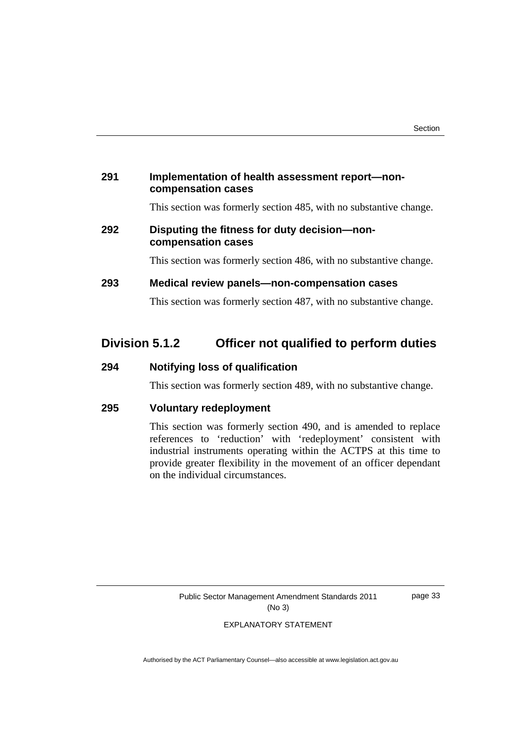# **291 Implementation of health assessment report—noncompensation cases**

This section was formerly section 485, with no substantive change.

# **292 Disputing the fitness for duty decision—noncompensation cases**

This section was formerly section 486, with no substantive change.

# **293 Medical review panels—non-compensation cases**

This section was formerly section 487, with no substantive change.

# **Division 5.1.2 Officer not qualified to perform duties**

## **294 Notifying loss of qualification**

This section was formerly section 489, with no substantive change.

#### **295 Voluntary redeployment**

 This section was formerly section 490, and is amended to replace references to 'reduction' with 'redeployment' consistent with industrial instruments operating within the ACTPS at this time to provide greater flexibility in the movement of an officer dependant on the individual circumstances.

> Public Sector Management Amendment Standards 2011 (No 3)

page 33

EXPLANATORY STATEMENT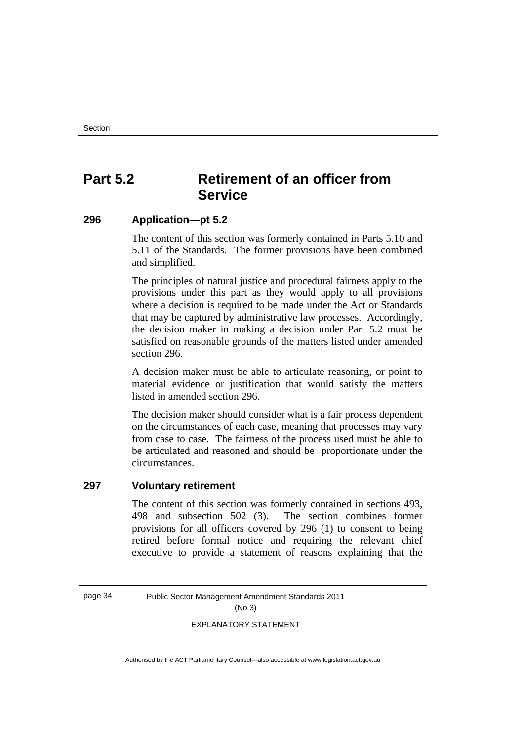# **Part 5.2 Retirement of an officer from Service**

# **296 Application—pt 5.2**

 The content of this section was formerly contained in Parts 5.10 and 5.11 of the Standards. The former provisions have been combined and simplified.

The principles of natural justice and procedural fairness apply to the provisions under this part as they would apply to all provisions where a decision is required to be made under the Act or Standards that may be captured by administrative law processes. Accordingly, the decision maker in making a decision under Part 5.2 must be satisfied on reasonable grounds of the matters listed under amended section 296.

A decision maker must be able to articulate reasoning, or point to material evidence or justification that would satisfy the matters listed in amended section 296.

The decision maker should consider what is a fair process dependent on the circumstances of each case, meaning that processes may vary from case to case. The fairness of the process used must be able to be articulated and reasoned and should be proportionate under the circumstances.

# **297 Voluntary retirement**

 The content of this section was formerly contained in sections 493, 498 and subsection 502 (3). The section combines former provisions for all officers covered by 296 (1) to consent to being retired before formal notice and requiring the relevant chief executive to provide a statement of reasons explaining that the

page 34 Public Sector Management Amendment Standards 2011 (No 3)

EXPLANATORY STATEMENT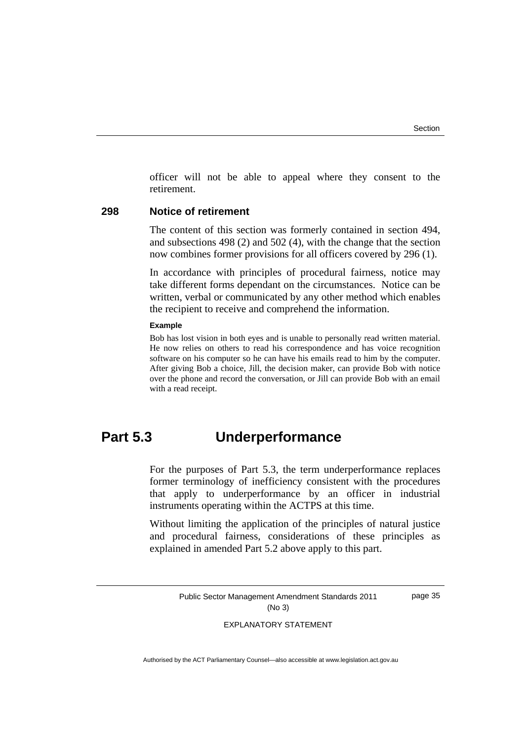officer will not be able to appeal where they consent to the retirement.

#### **298 Notice of retirement**

The content of this section was formerly contained in section 494, and subsections 498 (2) and 502 (4), with the change that the section now combines former provisions for all officers covered by 296 (1).

In accordance with principles of procedural fairness, notice may take different forms dependant on the circumstances. Notice can be written, verbal or communicated by any other method which enables the recipient to receive and comprehend the information.

#### **Example**

Bob has lost vision in both eyes and is unable to personally read written material. He now relies on others to read his correspondence and has voice recognition software on his computer so he can have his emails read to him by the computer. After giving Bob a choice, Jill, the decision maker, can provide Bob with notice over the phone and record the conversation, or Jill can provide Bob with an email with a read receipt.

# **Part 5.3 Underperformance**

For the purposes of Part 5.3, the term underperformance replaces former terminology of inefficiency consistent with the procedures that apply to underperformance by an officer in industrial instruments operating within the ACTPS at this time.

Without limiting the application of the principles of natural justice and procedural fairness, considerations of these principles as explained in amended Part 5.2 above apply to this part.

> Public Sector Management Amendment Standards 2011 (No 3)

page 35

EXPLANATORY STATEMENT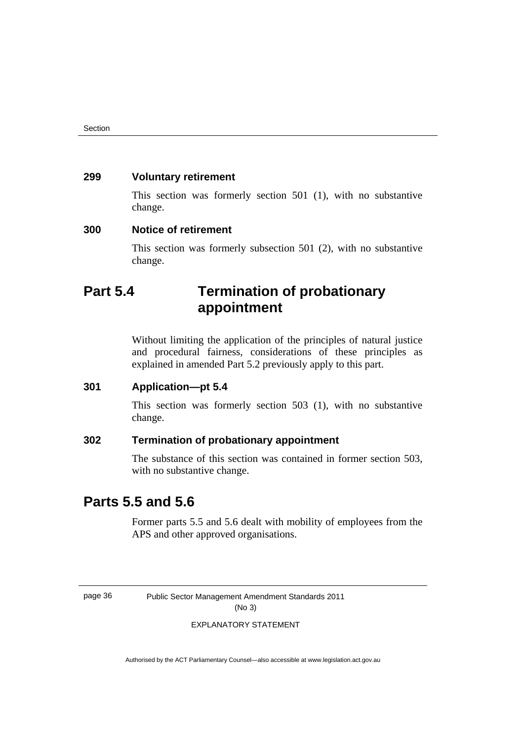# **299 Voluntary retirement**

 This section was formerly section 501 (1), with no substantive change.

#### **300 Notice of retirement**

This section was formerly subsection 501 (2), with no substantive change.

# **Part 5.4 Termination of probationary appointment**

Without limiting the application of the principles of natural justice and procedural fairness, considerations of these principles as explained in amended Part 5.2 previously apply to this part.

#### **301 Application—pt 5.4**

This section was formerly section 503 (1), with no substantive change.

## **302 Termination of probationary appointment**

 The substance of this section was contained in former section 503, with no substantive change.

# **Parts 5.5 and 5.6**

Former parts 5.5 and 5.6 dealt with mobility of employees from the APS and other approved organisations.

page 36 Public Sector Management Amendment Standards 2011 (No 3)

#### EXPLANATORY STATEMENT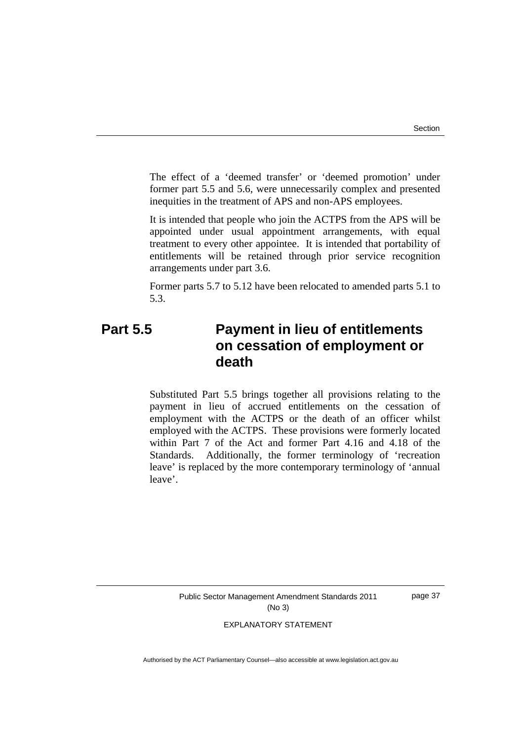The effect of a 'deemed transfer' or 'deemed promotion' under former part 5.5 and 5.6, were unnecessarily complex and presented inequities in the treatment of APS and non-APS employees.

It is intended that people who join the ACTPS from the APS will be appointed under usual appointment arrangements, with equal treatment to every other appointee. It is intended that portability of entitlements will be retained through prior service recognition arrangements under part 3.6.

Former parts 5.7 to 5.12 have been relocated to amended parts 5.1 to 5.3.

# **Part 5.5 Payment in lieu of entitlements on cessation of employment or death**

Substituted Part 5.5 brings together all provisions relating to the payment in lieu of accrued entitlements on the cessation of employment with the ACTPS or the death of an officer whilst employed with the ACTPS. These provisions were formerly located within Part 7 of the Act and former Part 4.16 and 4.18 of the Standards. Additionally, the former terminology of 'recreation leave' is replaced by the more contemporary terminology of 'annual leave'.

Public Sector Management Amendment Standards 2011 (No 3)

page 37

EXPLANATORY STATEMENT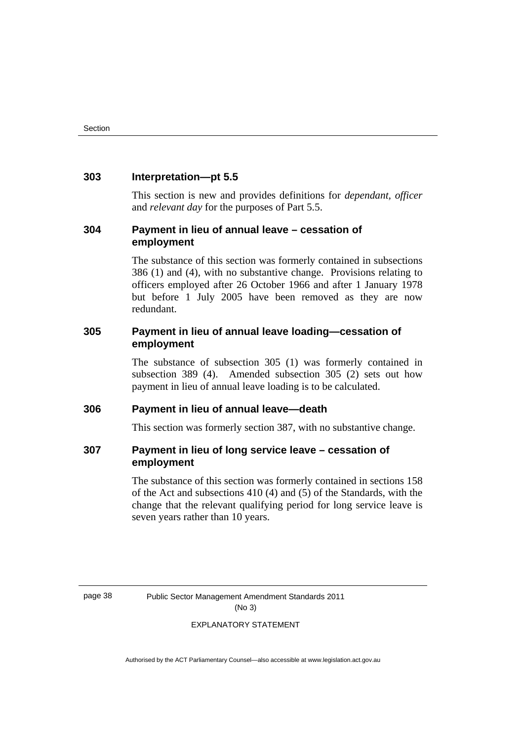#### **303 Interpretation—pt 5.5**

This section is new and provides definitions for *dependant, officer* and *relevant day* for the purposes of Part 5.5.

## **304 Payment in lieu of annual leave – cessation of employment**

 The substance of this section was formerly contained in subsections 386 (1) and (4), with no substantive change. Provisions relating to officers employed after 26 October 1966 and after 1 January 1978 but before 1 July 2005 have been removed as they are now redundant.

# **305 Payment in lieu of annual leave loading—cessation of employment**

 The substance of subsection 305 (1) was formerly contained in subsection 389 (4). Amended subsection 305 (2) sets out how payment in lieu of annual leave loading is to be calculated.

# **306 Payment in lieu of annual leave—death**

This section was formerly section 387, with no substantive change.

# **307 Payment in lieu of long service leave – cessation of employment**

The substance of this section was formerly contained in sections 158 of the Act and subsections 410 (4) and (5) of the Standards, with the change that the relevant qualifying period for long service leave is seven years rather than 10 years.

page 38 Public Sector Management Amendment Standards 2011 (No 3)

#### EXPLANATORY STATEMENT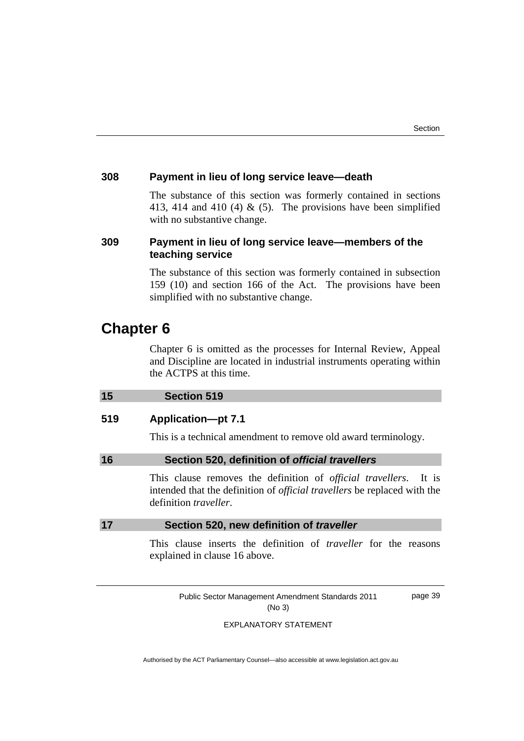#### **308 Payment in lieu of long service leave—death**

 The substance of this section was formerly contained in sections 413, 414 and 410 (4)  $\&$  (5). The provisions have been simplified with no substantive change.

# **309 Payment in lieu of long service leave—members of the teaching service**

 The substance of this section was formerly contained in subsection 159 (10) and section 166 of the Act. The provisions have been simplified with no substantive change.

# **Chapter 6**

Chapter 6 is omitted as the processes for Internal Review, Appeal and Discipline are located in industrial instruments operating within the ACTPS at this time.

## **15 Section 519**

#### **519 Application—pt 7.1**

This is a technical amendment to remove old award terminology.

#### **16 Section 520, definition of** *official travellers*

This clause removes the definition of *official travellers*. It is intended that the definition of *official travellers* be replaced with the definition *traveller*.

#### **17 Section 520, new definition of** *traveller*

This clause inserts the definition of *traveller* for the reasons explained in clause 16 above.

Public Sector Management Amendment Standards 2011 (No 3)

page 39

#### EXPLANATORY STATEMENT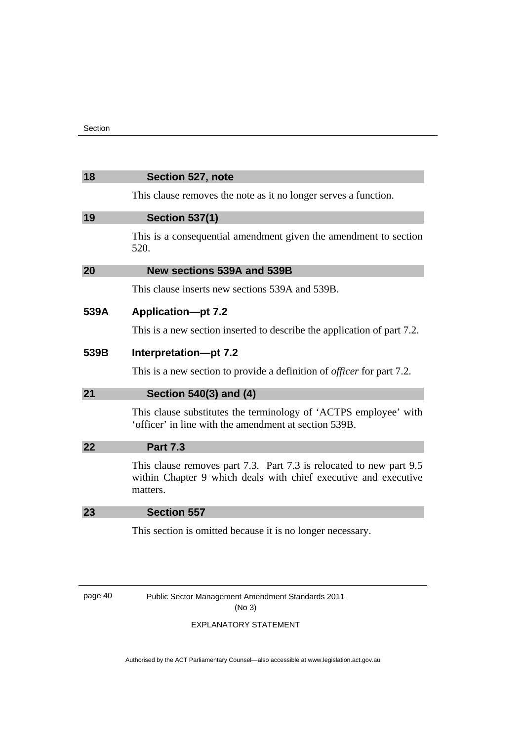| 18      | Section 527, note                                                                                                                                  |
|---------|----------------------------------------------------------------------------------------------------------------------------------------------------|
|         | This clause removes the note as it no longer serves a function.                                                                                    |
| 19      | <b>Section 537(1)</b>                                                                                                                              |
|         | This is a consequential amendment given the amendment to section<br>520.                                                                           |
| 20      | New sections 539A and 539B                                                                                                                         |
|         | This clause inserts new sections 539A and 539B.                                                                                                    |
| 539A    | <b>Application-pt 7.2</b>                                                                                                                          |
|         | This is a new section inserted to describe the application of part 7.2.                                                                            |
| 539B    | Interpretation-pt 7.2                                                                                                                              |
|         | This is a new section to provide a definition of <i>officer</i> for part 7.2.                                                                      |
| 21      | Section 540(3) and (4)                                                                                                                             |
|         | This clause substitutes the terminology of 'ACTPS employee' with<br>'officer' in line with the amendment at section 539B.                          |
| 22      | <b>Part 7.3</b>                                                                                                                                    |
|         | This clause removes part 7.3. Part 7.3 is relocated to new part 9.5<br>within Chapter 9 which deals with chief executive and executive<br>matters. |
| 23      | <b>Section 557</b>                                                                                                                                 |
|         | This section is omitted because it is no longer necessary.                                                                                         |
|         |                                                                                                                                                    |
| page 40 | Public Sector Management Amendment Standards 2011                                                                                                  |

(No 3)

# EXPLANATORY STATEMENT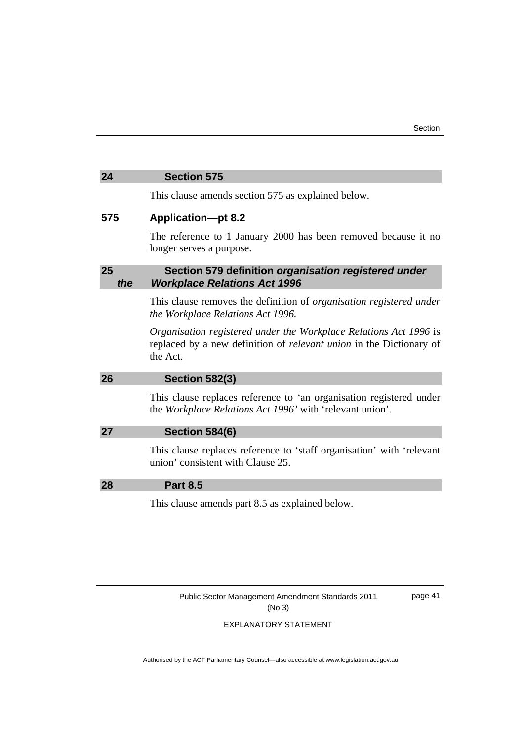#### **24 Section 575**

This clause amends section 575 as explained below.

#### **575 Application—pt 8.2**

The reference to 1 January 2000 has been removed because it no longer serves a purpose.

# **25 Section 579 definition** *organisation registered under the Workplace Relations Act 1996*

This clause removes the definition of *organisation registered under the Workplace Relations Act 1996.* 

*Organisation registered under the Workplace Relations Act 1996* is replaced by a new definition of *relevant union* in the Dictionary of the Act.

|    | <b>Section 582(3)</b>                                                                                                           |
|----|---------------------------------------------------------------------------------------------------------------------------------|
|    | This clause replaces reference to 'an organisation registered under<br>the Workplace Relations Act 1996' with 'relevant union'. |
| 27 | <b>Section 584(6)</b>                                                                                                           |
|    | This clause replaces reference to 'staff organisation' with 'relevant<br>union' consistent with Clause 25.                      |
|    | <b>Part 8.5</b>                                                                                                                 |

This clause amends part 8.5 as explained below.

Public Sector Management Amendment Standards 2011 (No 3)

page 41

EXPLANATORY STATEMENT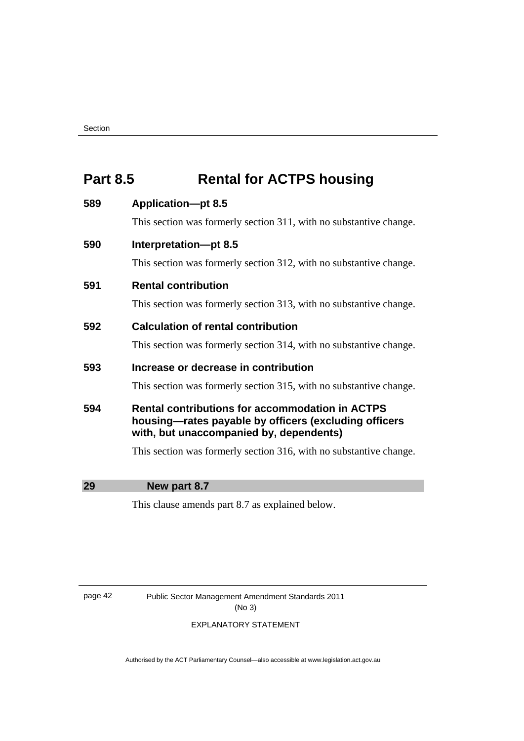# **Part 8.5** Rental for ACTPS housing

# **589 Application—pt 8.5**

This section was formerly section 311, with no substantive change.

# **590 Interpretation—pt 8.5**

This section was formerly section 312, with no substantive change.

# **591 Rental contribution**

This section was formerly section 313, with no substantive change.

# **592 Calculation of rental contribution**

This section was formerly section 314, with no substantive change.

# **593 Increase or decrease in contribution**

This section was formerly section 315, with no substantive change.

# **594 Rental contributions for accommodation in ACTPS housing—rates payable by officers (excluding officers with, but unaccompanied by, dependents)**

This section was formerly section 316, with no substantive change.

**29 New part 8.7** 

This clause amends part 8.7 as explained below.

page 42 Public Sector Management Amendment Standards 2011 (No 3)

#### EXPLANATORY STATEMENT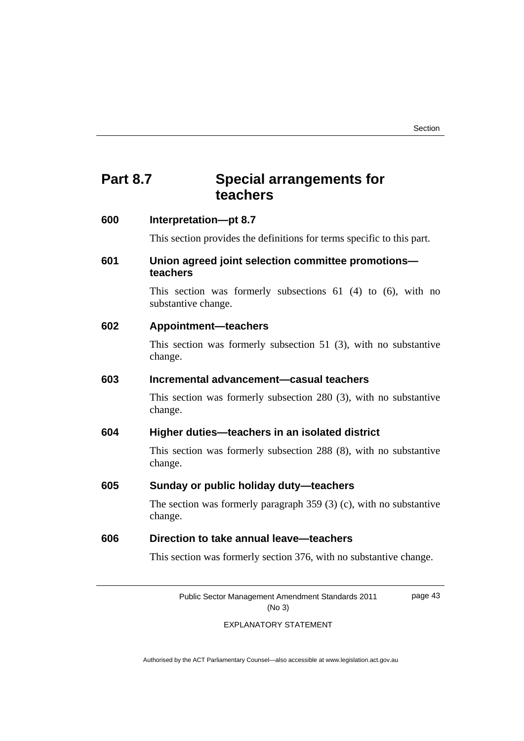# **Part 8.7 Special arrangements for teachers**

| 600 | Interpretation-pt 8.7                                                                 |
|-----|---------------------------------------------------------------------------------------|
|     | This section provides the definitions for terms specific to this part.                |
| 601 | Union agreed joint selection committee promotions-<br>teachers                        |
|     | This section was formerly subsections $61$ (4) to (6), with no<br>substantive change. |
| 602 | <b>Appointment-teachers</b>                                                           |
|     | This section was formerly subsection $51$ (3), with no substantive<br>change.         |
| 603 | Incremental advancement-casual teachers                                               |
|     | This section was formerly subsection $280$ (3), with no substantive<br>change.        |
| 604 | Higher duties-teachers in an isolated district                                        |
|     | This section was formerly subsection 288 (8), with no substantive<br>change.          |
| 605 | Sunday or public holiday duty-teachers                                                |
|     | The section was formerly paragraph $359$ (3) (c), with no substantive<br>change.      |
| 606 | Direction to take annual leave-teachers                                               |
|     | This section was formerly section 376, with no substantive change.                    |

Public Sector Management Amendment Standards 2011 (No 3)

page 43

#### EXPLANATORY STATEMENT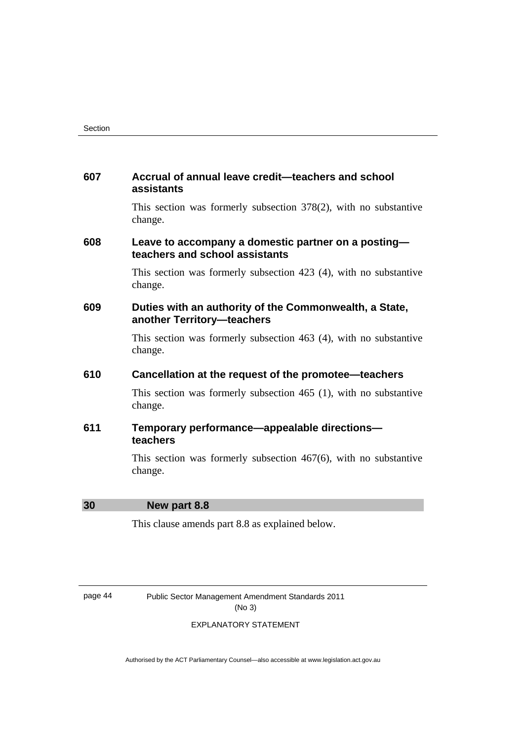## **607 Accrual of annual leave credit—teachers and school assistants**

 This section was formerly subsection 378(2), with no substantive change.

# **608 Leave to accompany a domestic partner on a posting teachers and school assistants**

 This section was formerly subsection 423 (4), with no substantive change.

# **609 Duties with an authority of the Commonwealth, a State, another Territory—teachers**

 This section was formerly subsection 463 (4), with no substantive change.

## **610 Cancellation at the request of the promotee—teachers**

 This section was formerly subsection 465 (1), with no substantive change.

# **611 Temporary performance—appealable directions teachers**

 This section was formerly subsection 467(6), with no substantive change.

#### **30 New part 8.8**

This clause amends part 8.8 as explained below.

page 44 Public Sector Management Amendment Standards 2011 (No 3)

#### EXPLANATORY STATEMENT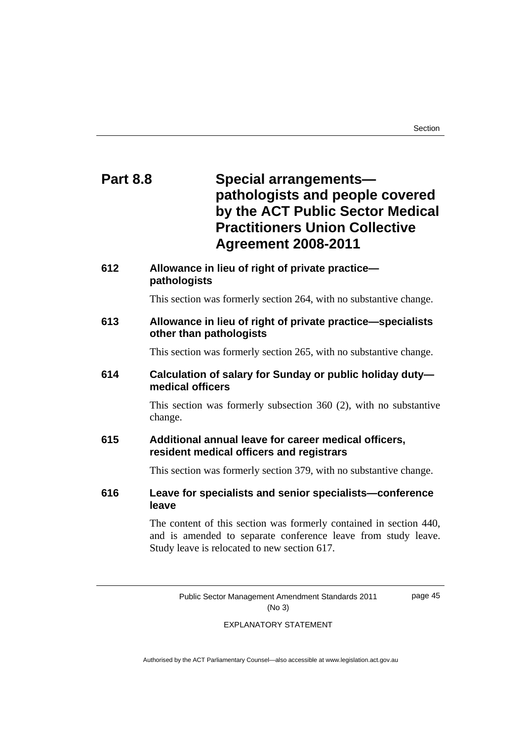# **Part 8.8 Special arrangements pathologists and people covered by the ACT Public Sector Medical Practitioners Union Collective Agreement 2008-2011**

# **612 Allowance in lieu of right of private practice pathologists**

This section was formerly section 264, with no substantive change.

# **613 Allowance in lieu of right of private practice—specialists other than pathologists**

This section was formerly section 265, with no substantive change.

# **614 Calculation of salary for Sunday or public holiday duty medical officers**

 This section was formerly subsection 360 (2), with no substantive change.

# **615 Additional annual leave for career medical officers, resident medical officers and registrars**

This section was formerly section 379, with no substantive change.

# **616 Leave for specialists and senior specialists—conference leave**

 The content of this section was formerly contained in section 440, and is amended to separate conference leave from study leave. Study leave is relocated to new section 617.

> Public Sector Management Amendment Standards 2011 (No 3)

page 45

#### EXPLANATORY STATEMENT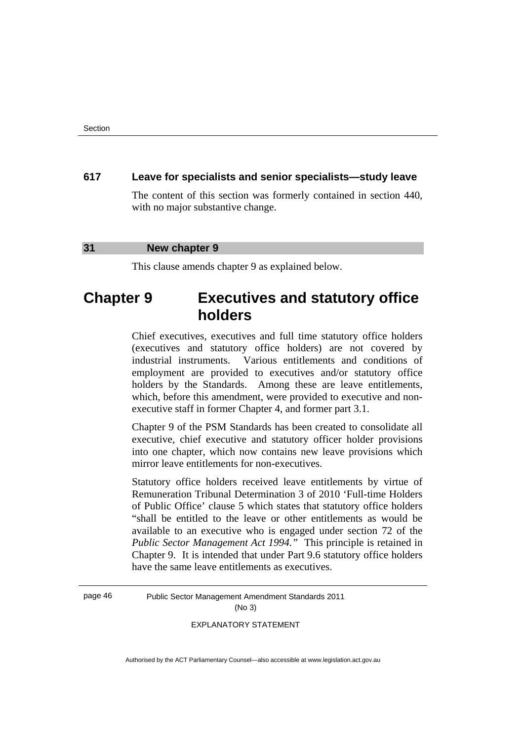#### **617 Leave for specialists and senior specialists—study leave**

 The content of this section was formerly contained in section 440, with no major substantive change.

#### **31 New chapter 9**

This clause amends chapter 9 as explained below.

# **Chapter 9 Executives and statutory office holders**

Chief executives, executives and full time statutory office holders (executives and statutory office holders) are not covered by industrial instruments. Various entitlements and conditions of employment are provided to executives and/or statutory office holders by the Standards. Among these are leave entitlements, which, before this amendment, were provided to executive and nonexecutive staff in former Chapter 4, and former part 3.1.

Chapter 9 of the PSM Standards has been created to consolidate all executive, chief executive and statutory officer holder provisions into one chapter, which now contains new leave provisions which mirror leave entitlements for non-executives.

Statutory office holders received leave entitlements by virtue of Remuneration Tribunal Determination 3 of 2010 'Full-time Holders of Public Office' clause 5 which states that statutory office holders "shall be entitled to the leave or other entitlements as would be available to an executive who is engaged under section 72 of the *Public Sector Management Act 1994."* This principle is retained in Chapter 9. It is intended that under Part 9.6 statutory office holders have the same leave entitlements as executives.

page 46 Public Sector Management Amendment Standards 2011 (No 3)

EXPLANATORY STATEMENT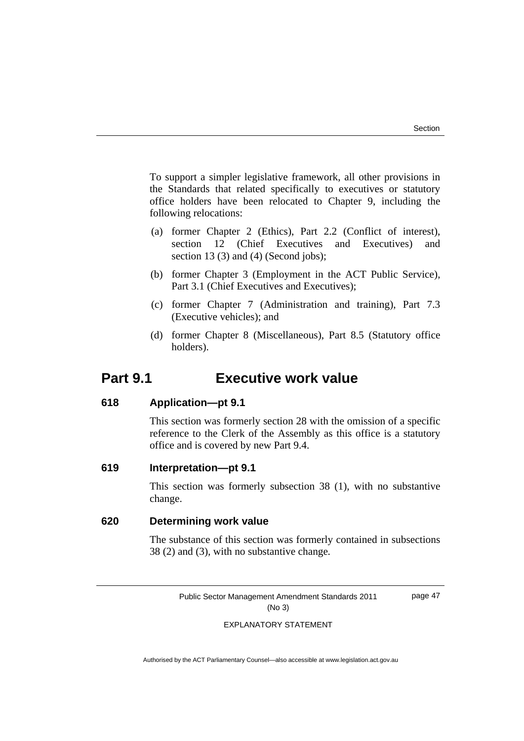To support a simpler legislative framework, all other provisions in the Standards that related specifically to executives or statutory office holders have been relocated to Chapter 9, including the following relocations:

- (a) former Chapter 2 (Ethics), Part 2.2 (Conflict of interest), section 12 (Chief Executives and Executives) and section 13 (3) and (4) (Second jobs);
- (b) former Chapter 3 (Employment in the ACT Public Service), Part 3.1 (Chief Executives and Executives);
- (c) former Chapter 7 (Administration and training), Part 7.3 (Executive vehicles); and
- (d) former Chapter 8 (Miscellaneous), Part 8.5 (Statutory office holders).

# **Part 9.1 Executive work value**

#### **618 Application—pt 9.1**

This section was formerly section 28 with the omission of a specific reference to the Clerk of the Assembly as this office is a statutory office and is covered by new Part 9.4.

#### **619 Interpretation—pt 9.1**

This section was formerly subsection 38 (1), with no substantive change.

#### **620 Determining work value**

 The substance of this section was formerly contained in subsections 38 (2) and (3), with no substantive change*.* 

Public Sector Management Amendment Standards 2011 (No 3)

page 47

#### EXPLANATORY STATEMENT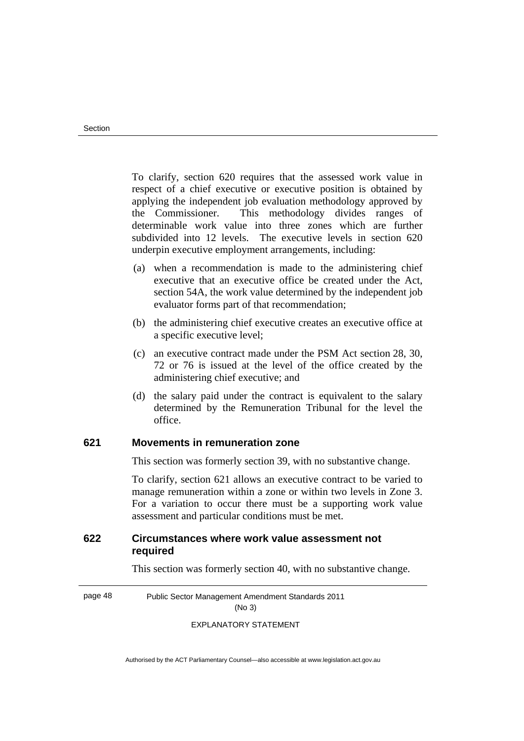To clarify, section 620 requires that the assessed work value in respect of a chief executive or executive position is obtained by applying the independent job evaluation methodology approved by the Commissioner. This methodology divides ranges of determinable work value into three zones which are further subdivided into 12 levels. The executive levels in section 620 underpin executive employment arrangements, including:

- (a) when a recommendation is made to the administering chief executive that an executive office be created under the Act, section 54A, the work value determined by the independent job evaluator forms part of that recommendation;
- (b) the administering chief executive creates an executive office at a specific executive level;
- (c) an executive contract made under the PSM Act section 28, 30, 72 or 76 is issued at the level of the office created by the administering chief executive; and
- (d) the salary paid under the contract is equivalent to the salary determined by the Remuneration Tribunal for the level the office.

#### **621 Movements in remuneration zone**

This section was formerly section 39, with no substantive change.

To clarify, section 621 allows an executive contract to be varied to manage remuneration within a zone or within two levels in Zone 3. For a variation to occur there must be a supporting work value assessment and particular conditions must be met.

# **622 Circumstances where work value assessment not required**

This section was formerly section 40, with no substantive change.

page 48 Public Sector Management Amendment Standards 2011 (No 3)

EXPLANATORY STATEMENT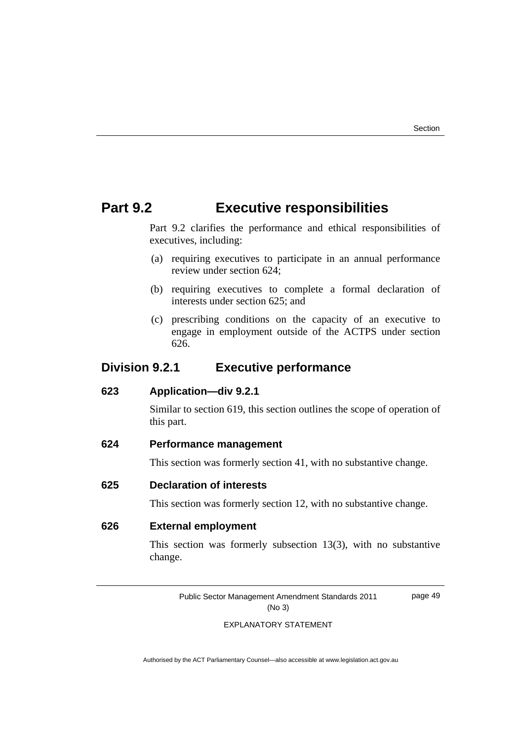page 49

# **Part 9.2 Executive responsibilities**

Part 9.2 clarifies the performance and ethical responsibilities of executives, including:

- (a) requiring executives to participate in an annual performance review under section 624;
- (b) requiring executives to complete a formal declaration of interests under section 625; and
- (c) prescribing conditions on the capacity of an executive to engage in employment outside of the ACTPS under section 626.

# **Division 9.2.1 Executive performance**

#### **623 Application—div 9.2.1**

Similar to section 619, this section outlines the scope of operation of this part.

## **624 Performance management**

This section was formerly section 41, with no substantive change.

# **625 Declaration of interests**

This section was formerly section 12, with no substantive change.

#### **626 External employment**

 This section was formerly subsection 13(3), with no substantive change.

Public Sector Management Amendment Standards 2011 (No 3)

EXPLANATORY STATEMENT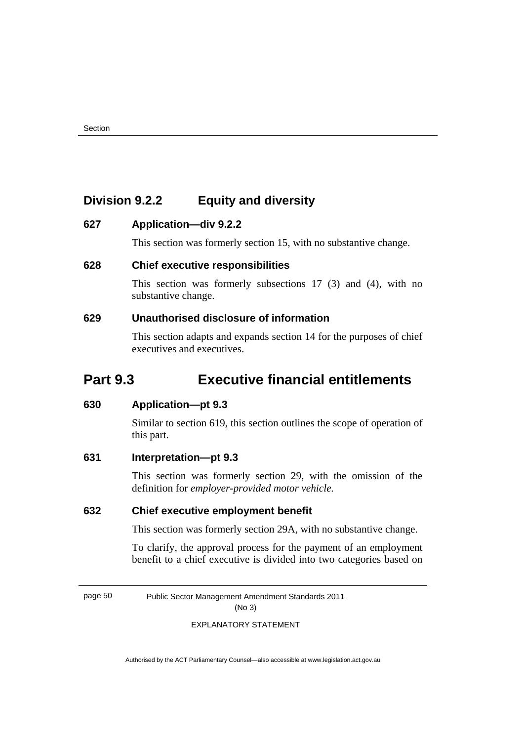# **Division 9.2.2 Equity and diversity**

# **627 Application—div 9.2.2**

This section was formerly section 15, with no substantive change.

# **628 Chief executive responsibilities**

 This section was formerly subsections 17 (3) and (4), with no substantive change.

# **629 Unauthorised disclosure of information**

This section adapts and expands section 14 for the purposes of chief executives and executives.

# **Part 9.3 Executive financial entitlements**

# **630 Application—pt 9.3**

Similar to section 619, this section outlines the scope of operation of this part.

# **631 Interpretation—pt 9.3**

This section was formerly section 29, with the omission of the definition for *employer-provided motor vehicle.*

# **632 Chief executive employment benefit**

This section was formerly section 29A, with no substantive change.

To clarify, the approval process for the payment of an employment benefit to a chief executive is divided into two categories based on

page 50 Public Sector Management Amendment Standards 2011

(No 3)

#### EXPLANATORY STATEMENT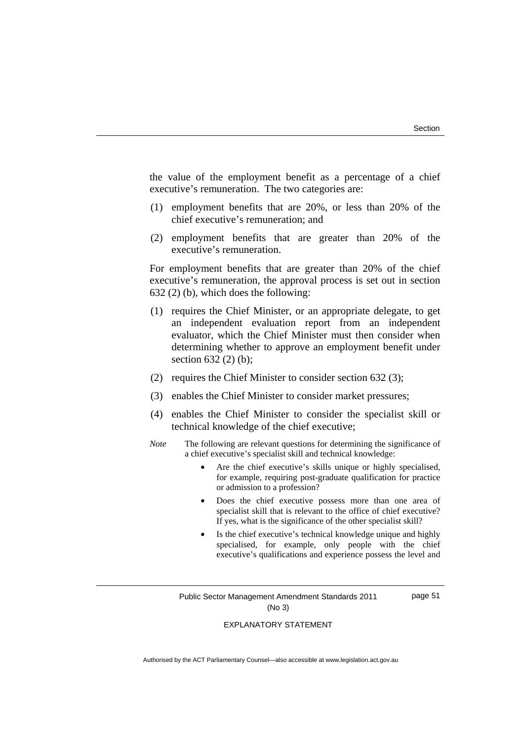the value of the employment benefit as a percentage of a chief executive's remuneration. The two categories are:

- (1) employment benefits that are 20%, or less than 20% of the chief executive's remuneration; and
- (2) employment benefits that are greater than 20% of the executive's remuneration.

For employment benefits that are greater than 20% of the chief executive's remuneration, the approval process is set out in section 632 (2) (b), which does the following:

- (1) requires the Chief Minister, or an appropriate delegate, to get an independent evaluation report from an independent evaluator, which the Chief Minister must then consider when determining whether to approve an employment benefit under section 632 (2) (b);
- (2) requires the Chief Minister to consider section 632 (3);
- (3) enables the Chief Minister to consider market pressures;
- (4) enables the Chief Minister to consider the specialist skill or technical knowledge of the chief executive;
- *Note* The following are relevant questions for determining the significance of a chief executive's specialist skill and technical knowledge:
	- Are the chief executive's skills unique or highly specialised, for example, requiring post-graduate qualification for practice or admission to a profession?
	- Does the chief executive possess more than one area of specialist skill that is relevant to the office of chief executive? If yes, what is the significance of the other specialist skill?
	- Is the chief executive's technical knowledge unique and highly specialised, for example, only people with the chief executive's qualifications and experience possess the level and

Public Sector Management Amendment Standards 2011 (No 3)

page 51

#### EXPLANATORY STATEMENT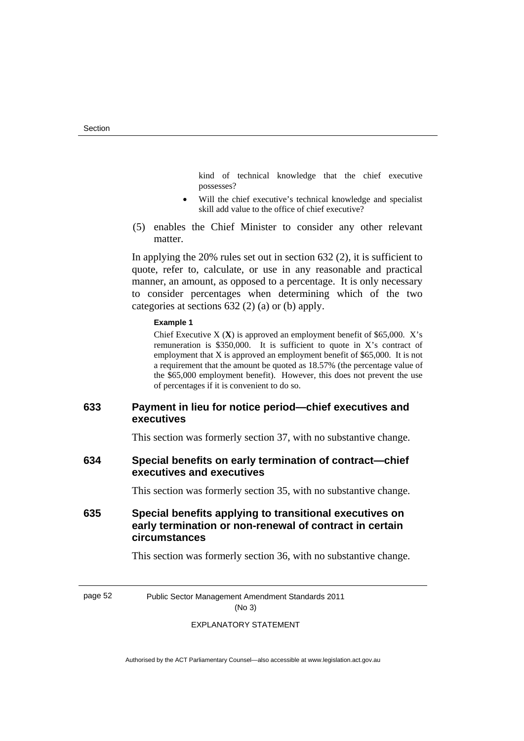kind of technical knowledge that the chief executive possesses?

- Will the chief executive's technical knowledge and specialist skill add value to the office of chief executive?
- (5) enables the Chief Minister to consider any other relevant matter.

In applying the 20% rules set out in section 632 (2), it is sufficient to quote, refer to, calculate, or use in any reasonable and practical manner, an amount, as opposed to a percentage. It is only necessary to consider percentages when determining which of the two categories at sections 632 (2) (a) or (b) apply.

#### **Example 1**

Chief Executive X (**X**) is approved an employment benefit of \$65,000. X's remuneration is  $$350,000$ . It is sufficient to quote in X's contract of employment that X is approved an employment benefit of \$65,000. It is not a requirement that the amount be quoted as 18.57% (the percentage value of the \$65,000 employment benefit). However, this does not prevent the use of percentages if it is convenient to do so.

# **633 Payment in lieu for notice period—chief executives and executives**

This section was formerly section 37, with no substantive change.

## **634 Special benefits on early termination of contract—chief executives and executives**

This section was formerly section 35, with no substantive change.

# **635 Special benefits applying to transitional executives on early termination or non-renewal of contract in certain circumstances**

This section was formerly section 36, with no substantive change.

page 52 Public Sector Management Amendment Standards 2011

# (No 3)

#### EXPLANATORY STATEMENT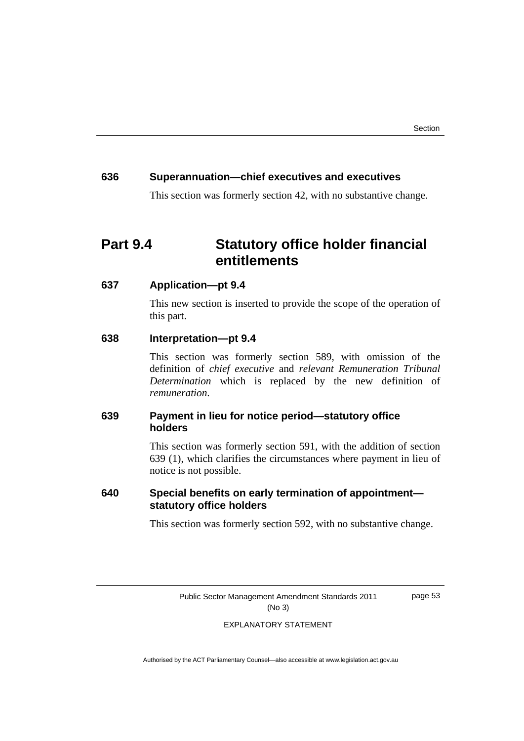# **636 Superannuation—chief executives and executives**

This section was formerly section 42, with no substantive change.

# **Part 9.4 Statutory office holder financial entitlements**

# **637 Application—pt 9.4**

This new section is inserted to provide the scope of the operation of this part.

#### **638 Interpretation—pt 9.4**

 This section was formerly section 589, with omission of the definition of *chief executive* and *relevant Remuneration Tribunal Determination* which is replaced by the new definition of *remuneration*.

# **639 Payment in lieu for notice period—statutory office holders**

 This section was formerly section 591, with the addition of section 639 (1), which clarifies the circumstances where payment in lieu of notice is not possible.

# **640 Special benefits on early termination of appointment statutory office holders**

This section was formerly section 592, with no substantive change.

Public Sector Management Amendment Standards 2011 (No 3)

page 53

#### EXPLANATORY STATEMENT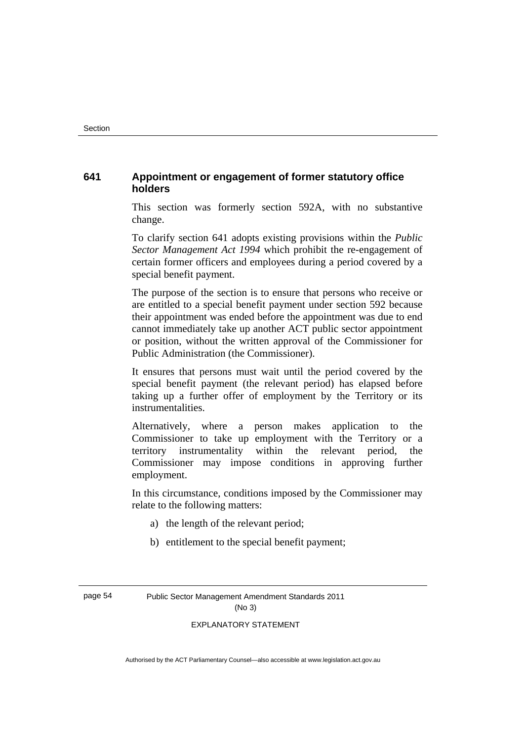# **641 Appointment or engagement of former statutory office holders**

This section was formerly section 592A, with no substantive change.

To clarify section 641 adopts existing provisions within the *Public Sector Management Act 1994* which prohibit the re-engagement of certain former officers and employees during a period covered by a special benefit payment.

The purpose of the section is to ensure that persons who receive or are entitled to a special benefit payment under section 592 because their appointment was ended before the appointment was due to end cannot immediately take up another ACT public sector appointment or position, without the written approval of the Commissioner for Public Administration (the Commissioner).

It ensures that persons must wait until the period covered by the special benefit payment (the relevant period) has elapsed before taking up a further offer of employment by the Territory or its instrumentalities.

Alternatively, where a person makes application to the Commissioner to take up employment with the Territory or a territory instrumentality within the relevant period, the Commissioner may impose conditions in approving further employment.

In this circumstance, conditions imposed by the Commissioner may relate to the following matters:

- a) the length of the relevant period;
- b) entitlement to the special benefit payment;

page 54 Public Sector Management Amendment Standards 2011 (No 3)

#### EXPLANATORY STATEMENT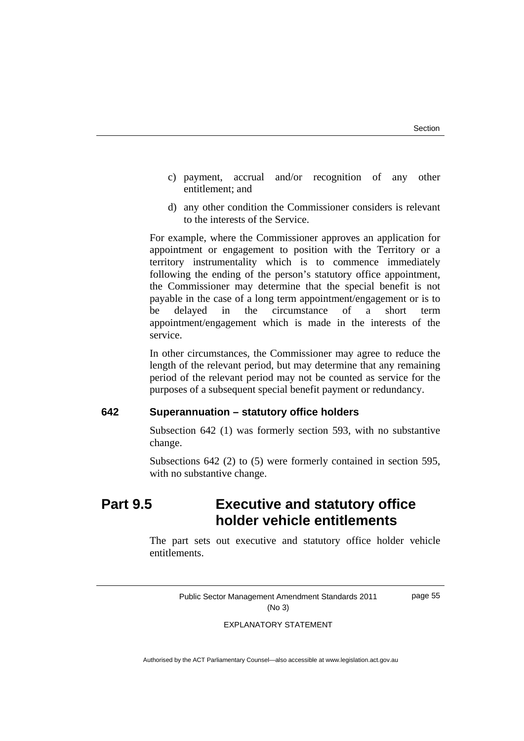- c) payment, accrual and/or recognition of any other entitlement; and
- d) any other condition the Commissioner considers is relevant to the interests of the Service.

For example, where the Commissioner approves an application for appointment or engagement to position with the Territory or a territory instrumentality which is to commence immediately following the ending of the person's statutory office appointment, the Commissioner may determine that the special benefit is not payable in the case of a long term appointment/engagement or is to be delayed in the circumstance of a short term appointment/engagement which is made in the interests of the service.

In other circumstances, the Commissioner may agree to reduce the length of the relevant period, but may determine that any remaining period of the relevant period may not be counted as service for the purposes of a subsequent special benefit payment or redundancy.

## **642 Superannuation – statutory office holders**

 Subsection 642 (1) was formerly section 593, with no substantive change.

 Subsections 642 (2) to (5) were formerly contained in section 595, with no substantive change.

# **Part 9.5 Executive and statutory office holder vehicle entitlements**

The part sets out executive and statutory office holder vehicle entitlements.

> Public Sector Management Amendment Standards 2011 (No 3)

page 55

#### EXPLANATORY STATEMENT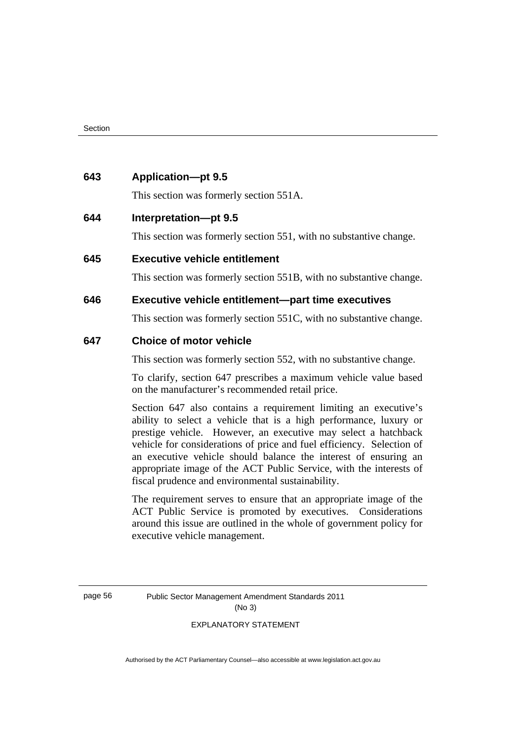#### **643 Application—pt 9.5**

This section was formerly section 551A.

## **644 Interpretation—pt 9.5**

This section was formerly section 551, with no substantive change.

#### **645 Executive vehicle entitlement**

This section was formerly section 551B, with no substantive change.

## **646 Executive vehicle entitlement—part time executives**

This section was formerly section 551C, with no substantive change.

#### **647 Choice of motor vehicle**

This section was formerly section 552, with no substantive change.

To clarify, section 647 prescribes a maximum vehicle value based on the manufacturer's recommended retail price.

Section 647 also contains a requirement limiting an executive's ability to select a vehicle that is a high performance, luxury or prestige vehicle. However, an executive may select a hatchback vehicle for considerations of price and fuel efficiency. Selection of an executive vehicle should balance the interest of ensuring an appropriate image of the ACT Public Service, with the interests of fiscal prudence and environmental sustainability.

The requirement serves to ensure that an appropriate image of the ACT Public Service is promoted by executives. Considerations around this issue are outlined in the whole of government policy for executive vehicle management.

page 56 Public Sector Management Amendment Standards 2011 (No 3)

#### EXPLANATORY STATEMENT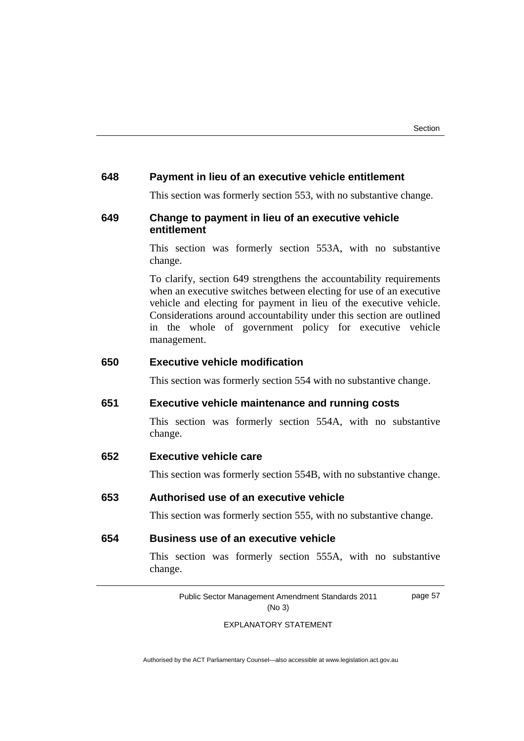#### **648 Payment in lieu of an executive vehicle entitlement**

This section was formerly section 553, with no substantive change.

# **649 Change to payment in lieu of an executive vehicle entitlement**

This section was formerly section 553A, with no substantive change.

To clarify, section 649 strengthens the accountability requirements when an executive switches between electing for use of an executive vehicle and electing for payment in lieu of the executive vehicle. Considerations around accountability under this section are outlined in the whole of government policy for executive vehicle management.

# **650 Executive vehicle modification**

This section was formerly section 554 with no substantive change.

## **651 Executive vehicle maintenance and running costs**

 This section was formerly section 554A, with no substantive change.

#### **652 Executive vehicle care**

This section was formerly section 554B, with no substantive change.

#### **653 Authorised use of an executive vehicle**

This section was formerly section 555, with no substantive change.

# **654 Business use of an executive vehicle**

 This section was formerly section 555A, with no substantive change.

> Public Sector Management Amendment Standards 2011 (No 3) page 57

#### EXPLANATORY STATEMENT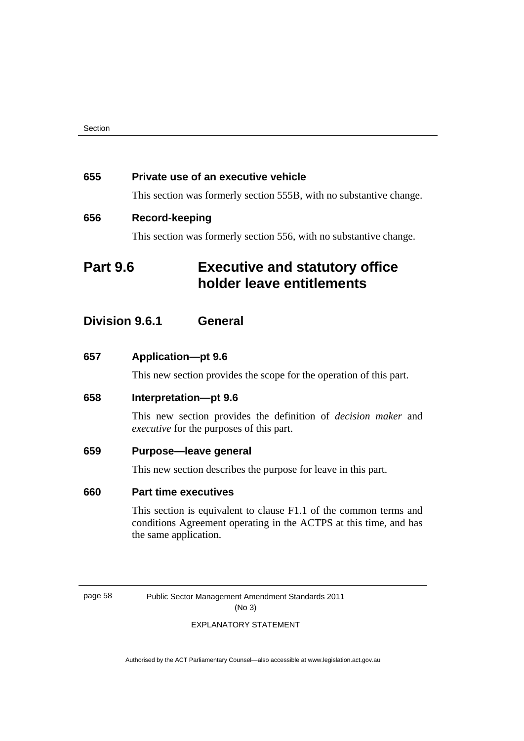#### **655 Private use of an executive vehicle**

This section was formerly section 555B, with no substantive change.

# **656 Record-keeping**

This section was formerly section 556, with no substantive change.

# **Part 9.6 Executive and statutory office holder leave entitlements**

# **Division 9.6.1 General**

**657 Application—pt 9.6** 

This new section provides the scope for the operation of this part.

#### **658 Interpretation—pt 9.6**

This new section provides the definition of *decision maker* and *executive* for the purposes of this part.

#### **659 Purpose—leave general**

This new section describes the purpose for leave in this part.

# **660 Part time executives**

This section is equivalent to clause F1.1 of the common terms and conditions Agreement operating in the ACTPS at this time, and has the same application.

page 58 Public Sector Management Amendment Standards 2011 (No 3)

#### EXPLANATORY STATEMENT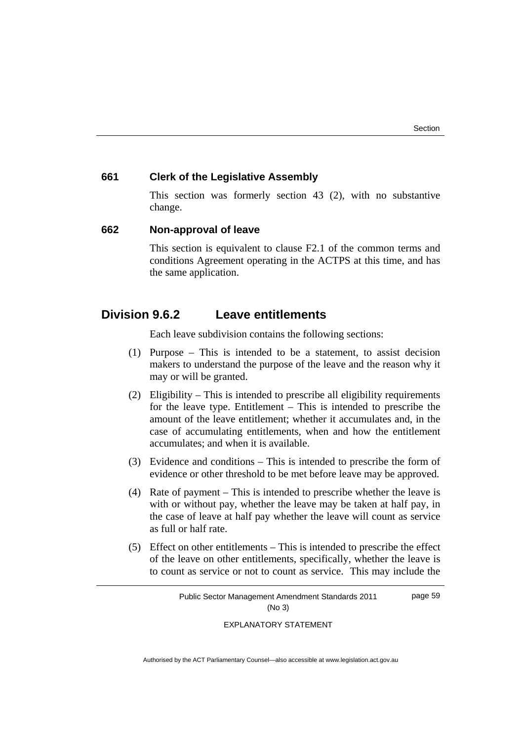#### **661 Clerk of the Legislative Assembly**

This section was formerly section 43 (2), with no substantive change.

#### **662 Non-approval of leave**

 This section is equivalent to clause F2.1 of the common terms and conditions Agreement operating in the ACTPS at this time, and has the same application.

# **Division 9.6.2 Leave entitlements**

Each leave subdivision contains the following sections:

- (1) Purpose This is intended to be a statement, to assist decision makers to understand the purpose of the leave and the reason why it may or will be granted.
- (2) Eligibility This is intended to prescribe all eligibility requirements for the leave type. Entitlement – This is intended to prescribe the amount of the leave entitlement; whether it accumulates and, in the case of accumulating entitlements, when and how the entitlement accumulates; and when it is available.
- (3) Evidence and conditions This is intended to prescribe the form of evidence or other threshold to be met before leave may be approved.
- (4) Rate of payment This is intended to prescribe whether the leave is with or without pay, whether the leave may be taken at half pay, in the case of leave at half pay whether the leave will count as service as full or half rate.
- (5) Effect on other entitlements This is intended to prescribe the effect of the leave on other entitlements, specifically, whether the leave is to count as service or not to count as service. This may include the

Public Sector Management Amendment Standards 2011 (No 3) page 59

EXPLANATORY STATEMENT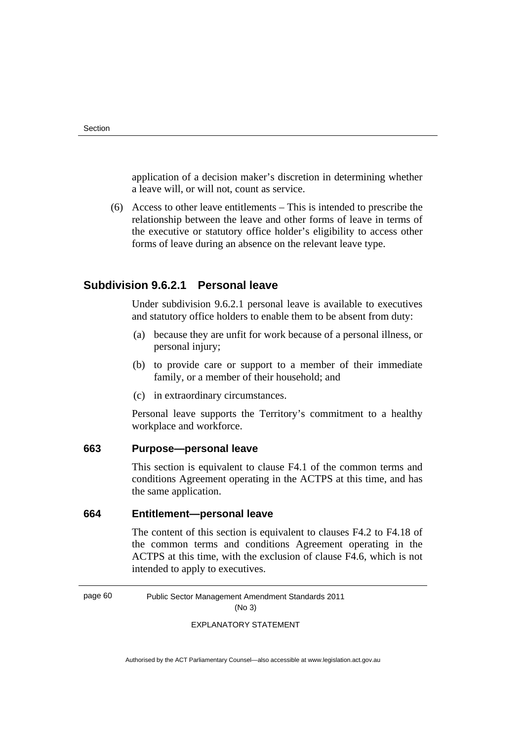application of a decision maker's discretion in determining whether a leave will, or will not, count as service.

 (6) Access to other leave entitlements – This is intended to prescribe the relationship between the leave and other forms of leave in terms of the executive or statutory office holder's eligibility to access other forms of leave during an absence on the relevant leave type.

# **Subdivision 9.6.2.1 Personal leave**

Under subdivision 9.6.2.1 personal leave is available to executives and statutory office holders to enable them to be absent from duty:

- (a) because they are unfit for work because of a personal illness, or personal injury;
- (b) to provide care or support to a member of their immediate family, or a member of their household; and
- (c) in extraordinary circumstances.

Personal leave supports the Territory's commitment to a healthy workplace and workforce.

# **663 Purpose—personal leave**

 This section is equivalent to clause F4.1 of the common terms and conditions Agreement operating in the ACTPS at this time, and has the same application.

# **664 Entitlement—personal leave**

 The content of this section is equivalent to clauses F4.2 to F4.18 of the common terms and conditions Agreement operating in the ACTPS at this time, with the exclusion of clause F4.6, which is not intended to apply to executives.

page 60 Public Sector Management Amendment Standards 2011

(No 3)

EXPLANATORY STATEMENT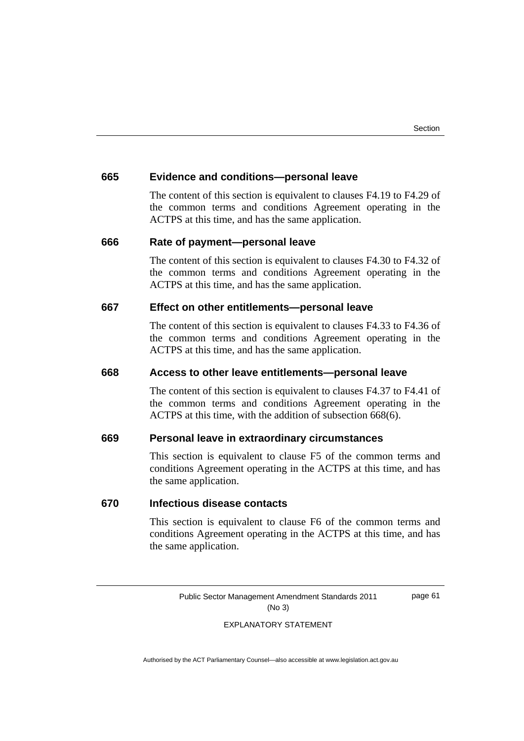#### **665 Evidence and conditions—personal leave**

 The content of this section is equivalent to clauses F4.19 to F4.29 of the common terms and conditions Agreement operating in the ACTPS at this time, and has the same application.

#### **666 Rate of payment—personal leave**

 The content of this section is equivalent to clauses F4.30 to F4.32 of the common terms and conditions Agreement operating in the ACTPS at this time, and has the same application.

### **667 Effect on other entitlements—personal leave**

 The content of this section is equivalent to clauses F4.33 to F4.36 of the common terms and conditions Agreement operating in the ACTPS at this time, and has the same application.

#### **668 Access to other leave entitlements—personal leave**

 The content of this section is equivalent to clauses F4.37 to F4.41 of the common terms and conditions Agreement operating in the ACTPS at this time, with the addition of subsection 668(6).

## **669 Personal leave in extraordinary circumstances**

 This section is equivalent to clause F5 of the common terms and conditions Agreement operating in the ACTPS at this time, and has the same application.

#### **670 Infectious disease contacts**

 This section is equivalent to clause F6 of the common terms and conditions Agreement operating in the ACTPS at this time, and has the same application.

> Public Sector Management Amendment Standards 2011 (No 3)

page 61

#### EXPLANATORY STATEMENT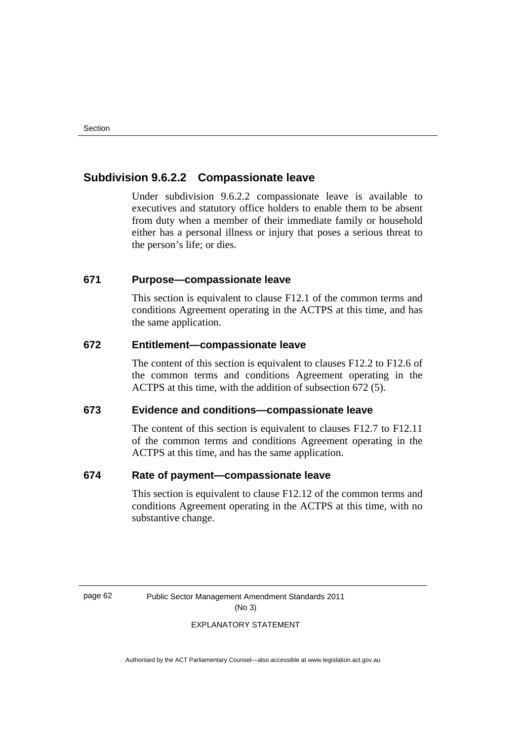# **Subdivision 9.6.2.2 Compassionate leave**

Under subdivision 9.6.2.2 compassionate leave is available to executives and statutory office holders to enable them to be absent from duty when a member of their immediate family or household either has a personal illness or injury that poses a serious threat to the person's life; or dies.

### **671 Purpose—compassionate leave**

This section is equivalent to clause F12.1 of the common terms and conditions Agreement operating in the ACTPS at this time, and has the same application.

### **672 Entitlement—compassionate leave**

 The content of this section is equivalent to clauses F12.2 to F12.6 of the common terms and conditions Agreement operating in the ACTPS at this time, with the addition of subsection 672 (5).

# **673 Evidence and conditions—compassionate leave**

 The content of this section is equivalent to clauses F12.7 to F12.11 of the common terms and conditions Agreement operating in the ACTPS at this time, and has the same application.

## **674 Rate of payment—compassionate leave**

This section is equivalent to clause F12.12 of the common terms and conditions Agreement operating in the ACTPS at this time, with no substantive change.

page 62 Public Sector Management Amendment Standards 2011 (No 3)

#### EXPLANATORY STATEMENT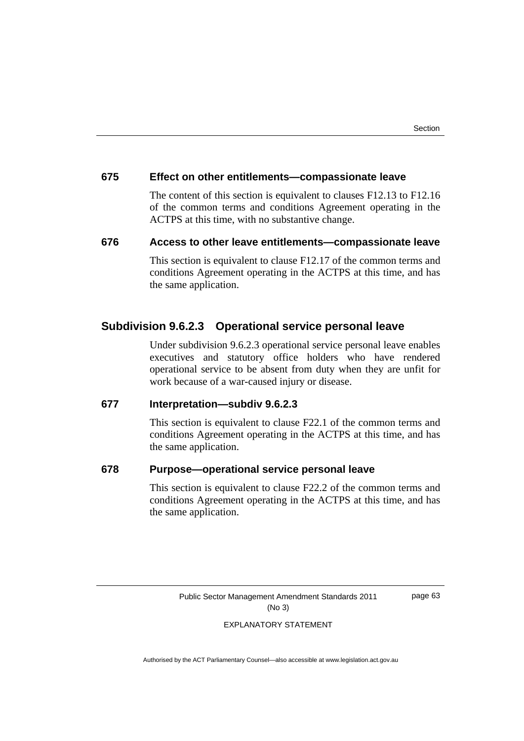#### **675 Effect on other entitlements—compassionate leave**

 The content of this section is equivalent to clauses F12.13 to F12.16 of the common terms and conditions Agreement operating in the ACTPS at this time, with no substantive change.

## **676 Access to other leave entitlements—compassionate leave**

This section is equivalent to clause F12.17 of the common terms and conditions Agreement operating in the ACTPS at this time, and has the same application.

# **Subdivision 9.6.2.3 Operational service personal leave**

Under subdivision 9.6.2.3 operational service personal leave enables executives and statutory office holders who have rendered operational service to be absent from duty when they are unfit for work because of a war-caused injury or disease.

## **677 Interpretation—subdiv 9.6.2.3**

This section is equivalent to clause F22.1 of the common terms and conditions Agreement operating in the ACTPS at this time, and has the same application.

# **678 Purpose—operational service personal leave**

This section is equivalent to clause F22.2 of the common terms and conditions Agreement operating in the ACTPS at this time, and has the same application.

Public Sector Management Amendment Standards 2011 (No 3)

page 63

EXPLANATORY STATEMENT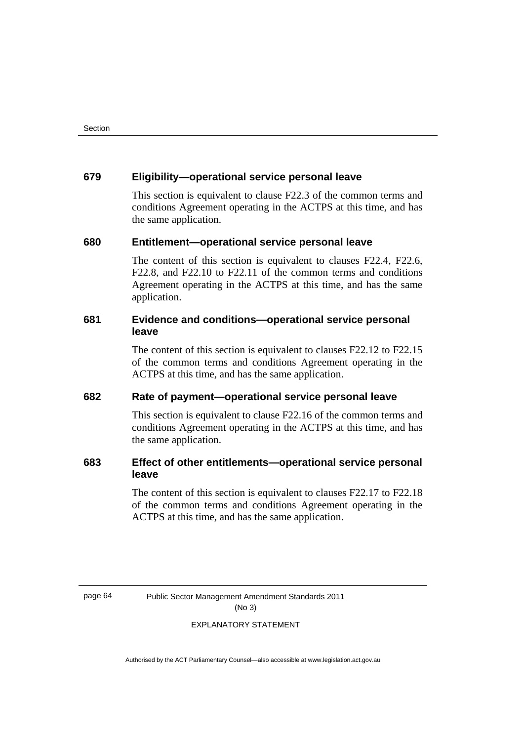#### **679 Eligibility—operational service personal leave**

This section is equivalent to clause F22.3 of the common terms and conditions Agreement operating in the ACTPS at this time, and has the same application.

#### **680 Entitlement—operational service personal leave**

 The content of this section is equivalent to clauses F22.4, F22.6, F22.8, and F22.10 to F22.11 of the common terms and conditions Agreement operating in the ACTPS at this time, and has the same application.

# **681 Evidence and conditions—operational service personal leave**

 The content of this section is equivalent to clauses F22.12 to F22.15 of the common terms and conditions Agreement operating in the ACTPS at this time, and has the same application.

## **682 Rate of payment—operational service personal leave**

This section is equivalent to clause F22.16 of the common terms and conditions Agreement operating in the ACTPS at this time, and has the same application.

# **683 Effect of other entitlements—operational service personal leave**

 The content of this section is equivalent to clauses F22.17 to F22.18 of the common terms and conditions Agreement operating in the ACTPS at this time, and has the same application.

page 64 Public Sector Management Amendment Standards 2011 (No 3)

#### EXPLANATORY STATEMENT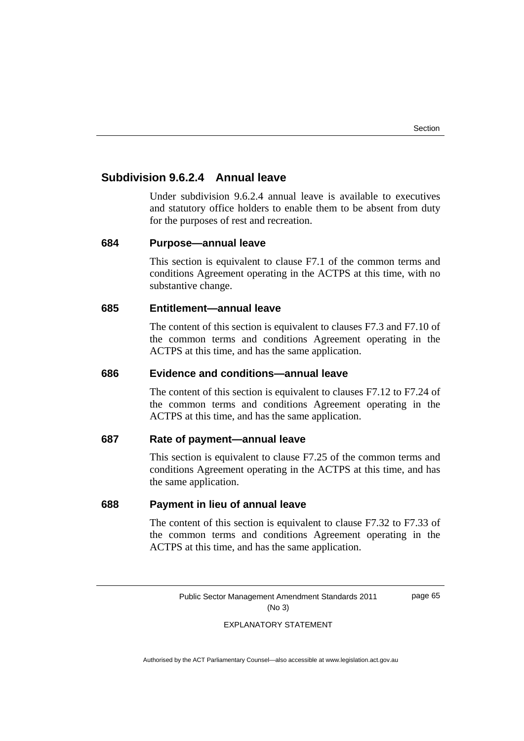# **Subdivision 9.6.2.4 Annual leave**

Under subdivision 9.6.2.4 annual leave is available to executives and statutory office holders to enable them to be absent from duty for the purposes of rest and recreation.

#### **684 Purpose—annual leave**

This section is equivalent to clause F7.1 of the common terms and conditions Agreement operating in the ACTPS at this time, with no substantive change.

#### **685 Entitlement—annual leave**

 The content of this section is equivalent to clauses F7.3 and F7.10 of the common terms and conditions Agreement operating in the ACTPS at this time, and has the same application.

#### **686 Evidence and conditions—annual leave**

 The content of this section is equivalent to clauses F7.12 to F7.24 of the common terms and conditions Agreement operating in the ACTPS at this time, and has the same application.

#### **687 Rate of payment—annual leave**

This section is equivalent to clause F7.25 of the common terms and conditions Agreement operating in the ACTPS at this time, and has the same application.

#### **688 Payment in lieu of annual leave**

 The content of this section is equivalent to clause F7.32 to F7.33 of the common terms and conditions Agreement operating in the ACTPS at this time, and has the same application.

> Public Sector Management Amendment Standards 2011 (No 3)

page 65

#### EXPLANATORY STATEMENT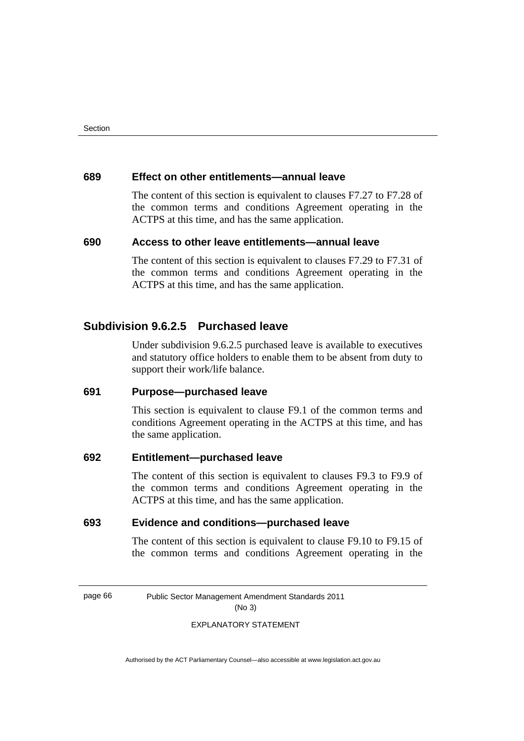#### **689 Effect on other entitlements—annual leave**

 The content of this section is equivalent to clauses F7.27 to F7.28 of the common terms and conditions Agreement operating in the ACTPS at this time, and has the same application.

### **690 Access to other leave entitlements—annual leave**

 The content of this section is equivalent to clauses F7.29 to F7.31 of the common terms and conditions Agreement operating in the ACTPS at this time, and has the same application.

# **Subdivision 9.6.2.5 Purchased leave**

Under subdivision 9.6.2.5 purchased leave is available to executives and statutory office holders to enable them to be absent from duty to support their work/life balance.

# **691 Purpose—purchased leave**

This section is equivalent to clause F9.1 of the common terms and conditions Agreement operating in the ACTPS at this time, and has the same application.

# **692 Entitlement—purchased leave**

 The content of this section is equivalent to clauses F9.3 to F9.9 of the common terms and conditions Agreement operating in the ACTPS at this time, and has the same application.

## **693 Evidence and conditions—purchased leave**

 The content of this section is equivalent to clause F9.10 to F9.15 of the common terms and conditions Agreement operating in the

page 66 Public Sector Management Amendment Standards 2011 (No 3)

#### EXPLANATORY STATEMENT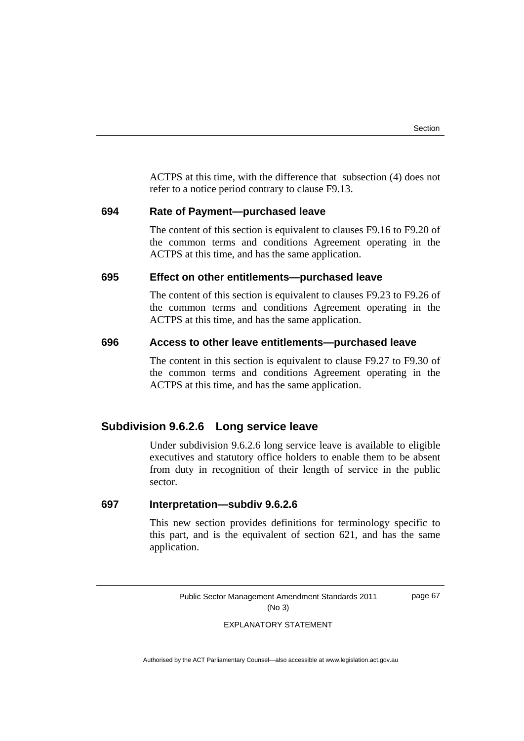ACTPS at this time, with the difference that subsection (4) does not refer to a notice period contrary to clause F9.13.

#### **694 Rate of Payment—purchased leave**

 The content of this section is equivalent to clauses F9.16 to F9.20 of the common terms and conditions Agreement operating in the ACTPS at this time, and has the same application.

# **695 Effect on other entitlements—purchased leave**

 The content of this section is equivalent to clauses F9.23 to F9.26 of the common terms and conditions Agreement operating in the ACTPS at this time, and has the same application.

#### **696 Access to other leave entitlements—purchased leave**

 The content in this section is equivalent to clause F9.27 to F9.30 of the common terms and conditions Agreement operating in the ACTPS at this time, and has the same application.

# **Subdivision 9.6.2.6 Long service leave**

Under subdivision 9.6.2.6 long service leave is available to eligible executives and statutory office holders to enable them to be absent from duty in recognition of their length of service in the public sector.

#### **697 Interpretation—subdiv 9.6.2.6**

This new section provides definitions for terminology specific to this part, and is the equivalent of section 621, and has the same application.

Public Sector Management Amendment Standards 2011 (No 3)

page 67

#### EXPLANATORY STATEMENT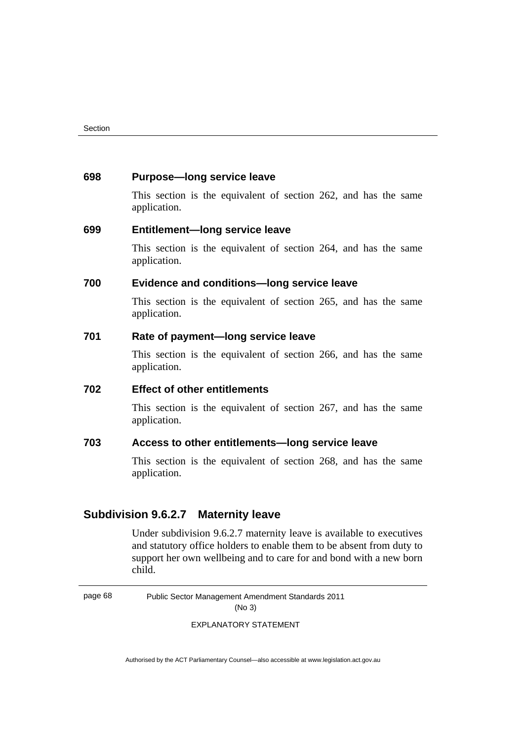#### **698 Purpose—long service leave**

This section is the equivalent of section 262, and has the same application.

#### **699 Entitlement—long service leave**

 This section is the equivalent of section 264, and has the same application.

## **700 Evidence and conditions—long service leave**

 This section is the equivalent of section 265, and has the same application.

# **701 Rate of payment—long service leave**

 This section is the equivalent of section 266, and has the same application.

## **702 Effect of other entitlements**

 This section is the equivalent of section 267, and has the same application.

#### **703 Access to other entitlements—long service leave**

 This section is the equivalent of section 268, and has the same application.

# **Subdivision 9.6.2.7 Maternity leave**

Under subdivision 9.6.2.7 maternity leave is available to executives and statutory office holders to enable them to be absent from duty to support her own wellbeing and to care for and bond with a new born child.

page 68 Public Sector Management Amendment Standards 2011 (No 3)

EXPLANATORY STATEMENT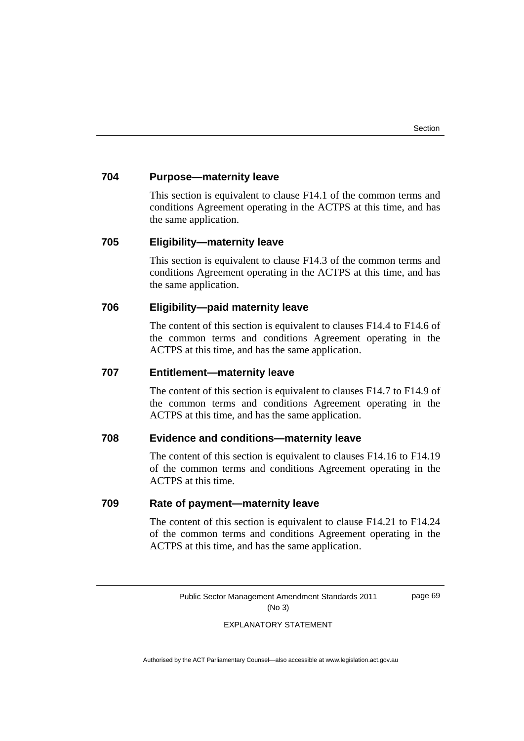# **704 Purpose—maternity leave**

This section is equivalent to clause F14.1 of the common terms and conditions Agreement operating in the ACTPS at this time, and has the same application.

#### **705 Eligibility—maternity leave**

 This section is equivalent to clause F14.3 of the common terms and conditions Agreement operating in the ACTPS at this time, and has the same application.

## **706 Eligibility—paid maternity leave**

 The content of this section is equivalent to clauses F14.4 to F14.6 of the common terms and conditions Agreement operating in the ACTPS at this time, and has the same application.

# **707 Entitlement—maternity leave**

 The content of this section is equivalent to clauses F14.7 to F14.9 of the common terms and conditions Agreement operating in the ACTPS at this time, and has the same application.

#### **708 Evidence and conditions—maternity leave**

 The content of this section is equivalent to clauses F14.16 to F14.19 of the common terms and conditions Agreement operating in the ACTPS at this time.

### **709 Rate of payment—maternity leave**

 The content of this section is equivalent to clause F14.21 to F14.24 of the common terms and conditions Agreement operating in the ACTPS at this time, and has the same application.

> Public Sector Management Amendment Standards 2011 (No 3)

page 69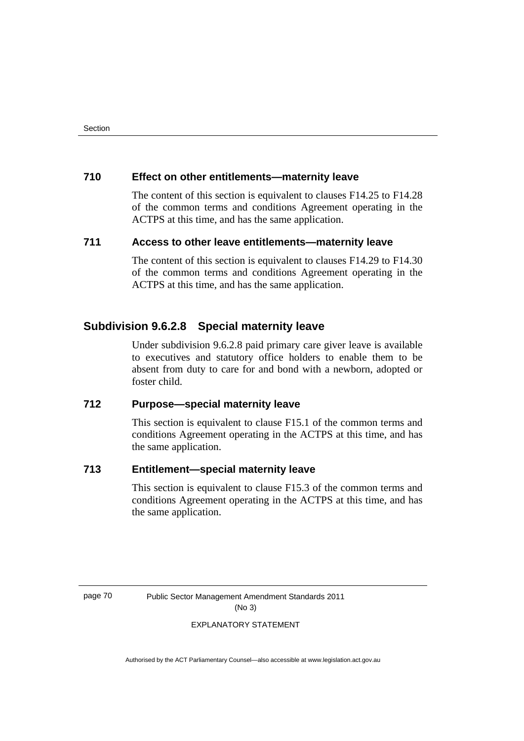# **710 Effect on other entitlements—maternity leave**

 The content of this section is equivalent to clauses F14.25 to F14.28 of the common terms and conditions Agreement operating in the ACTPS at this time, and has the same application.

# **711 Access to other leave entitlements—maternity leave**

 The content of this section is equivalent to clauses F14.29 to F14.30 of the common terms and conditions Agreement operating in the ACTPS at this time, and has the same application.

# **Subdivision 9.6.2.8 Special maternity leave**

Under subdivision 9.6.2.8 paid primary care giver leave is available to executives and statutory office holders to enable them to be absent from duty to care for and bond with a newborn, adopted or foster child.

# **712 Purpose—special maternity leave**

This section is equivalent to clause F15.1 of the common terms and conditions Agreement operating in the ACTPS at this time, and has the same application.

# **713 Entitlement—special maternity leave**

This section is equivalent to clause F15.3 of the common terms and conditions Agreement operating in the ACTPS at this time, and has the same application.

page 70 Public Sector Management Amendment Standards 2011 (No 3)

#### EXPLANATORY STATEMENT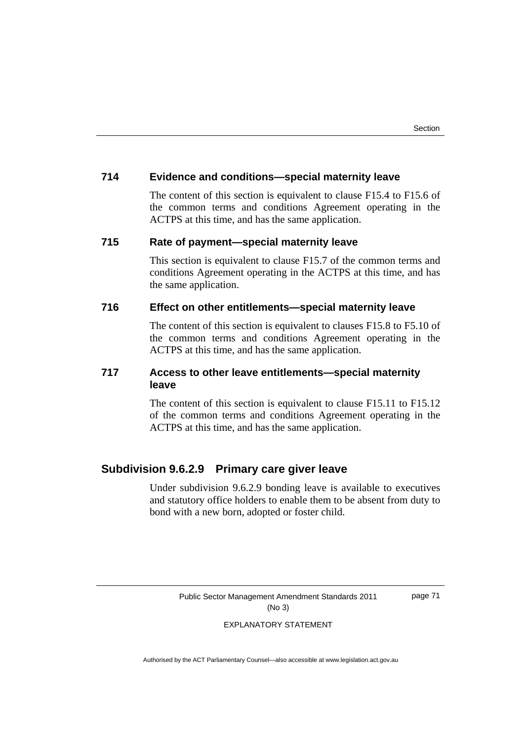# **714 Evidence and conditions—special maternity leave**

 The content of this section is equivalent to clause F15.4 to F15.6 of the common terms and conditions Agreement operating in the ACTPS at this time, and has the same application.

## **715 Rate of payment—special maternity leave**

This section is equivalent to clause F15.7 of the common terms and conditions Agreement operating in the ACTPS at this time, and has the same application.

# **716 Effect on other entitlements—special maternity leave**

 The content of this section is equivalent to clauses F15.8 to F5.10 of the common terms and conditions Agreement operating in the ACTPS at this time, and has the same application.

# **717 Access to other leave entitlements—special maternity leave**

 The content of this section is equivalent to clause F15.11 to F15.12 of the common terms and conditions Agreement operating in the ACTPS at this time, and has the same application.

# **Subdivision 9.6.2.9 Primary care giver leave**

Under subdivision 9.6.2.9 bonding leave is available to executives and statutory office holders to enable them to be absent from duty to bond with a new born, adopted or foster child.

Public Sector Management Amendment Standards 2011 (No 3)

page 71

#### EXPLANATORY STATEMENT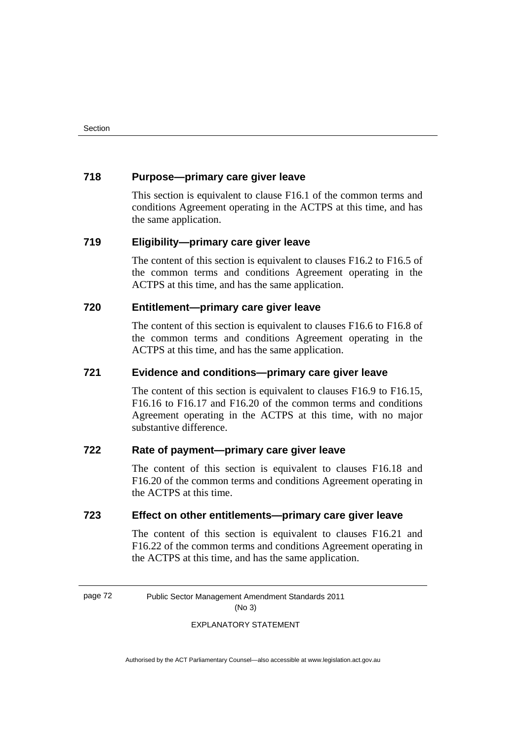# **718 Purpose—primary care giver leave**

This section is equivalent to clause F16.1 of the common terms and conditions Agreement operating in the ACTPS at this time, and has the same application.

## **719 Eligibility—primary care giver leave**

 The content of this section is equivalent to clauses F16.2 to F16.5 of the common terms and conditions Agreement operating in the ACTPS at this time, and has the same application.

## **720 Entitlement—primary care giver leave**

 The content of this section is equivalent to clauses F16.6 to F16.8 of the common terms and conditions Agreement operating in the ACTPS at this time, and has the same application.

### **721 Evidence and conditions—primary care giver leave**

 The content of this section is equivalent to clauses F16.9 to F16.15, F16.16 to F16.17 and F16.20 of the common terms and conditions Agreement operating in the ACTPS at this time, with no major substantive difference.

# **722 Rate of payment—primary care giver leave**

The content of this section is equivalent to clauses F16.18 and F16.20 of the common terms and conditions Agreement operating in the ACTPS at this time.

## **723 Effect on other entitlements—primary care giver leave**

 The content of this section is equivalent to clauses F16.21 and F16.22 of the common terms and conditions Agreement operating in the ACTPS at this time, and has the same application.

page 72 Public Sector Management Amendment Standards 2011 (No 3)

#### EXPLANATORY STATEMENT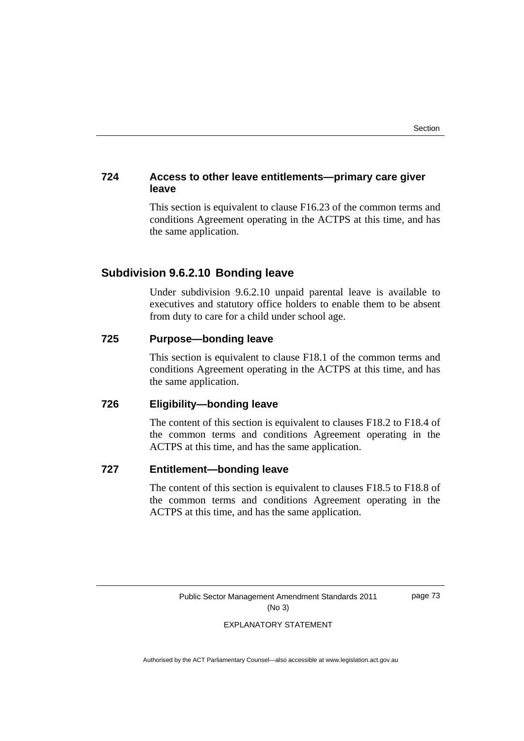# **724 Access to other leave entitlements—primary care giver leave**

This section is equivalent to clause F16.23 of the common terms and conditions Agreement operating in the ACTPS at this time, and has the same application.

# **Subdivision 9.6.2.10 Bonding leave**

Under subdivision 9.6.2.10 unpaid parental leave is available to executives and statutory office holders to enable them to be absent from duty to care for a child under school age.

# **725 Purpose—bonding leave**

This section is equivalent to clause F18.1 of the common terms and conditions Agreement operating in the ACTPS at this time, and has the same application.

# **726 Eligibility—bonding leave**

 The content of this section is equivalent to clauses F18.2 to F18.4 of the common terms and conditions Agreement operating in the ACTPS at this time, and has the same application.

# **727 Entitlement—bonding leave**

 The content of this section is equivalent to clauses F18.5 to F18.8 of the common terms and conditions Agreement operating in the ACTPS at this time, and has the same application.

> Public Sector Management Amendment Standards 2011 (No 3)

page 73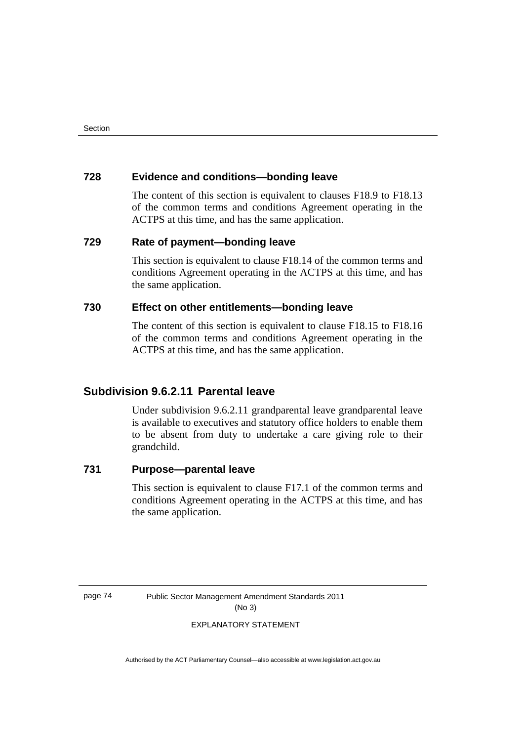# **728 Evidence and conditions—bonding leave**

 The content of this section is equivalent to clauses F18.9 to F18.13 of the common terms and conditions Agreement operating in the ACTPS at this time, and has the same application.

# **729 Rate of payment—bonding leave**

This section is equivalent to clause F18.14 of the common terms and conditions Agreement operating in the ACTPS at this time, and has the same application.

# **730 Effect on other entitlements—bonding leave**

 The content of this section is equivalent to clause F18.15 to F18.16 of the common terms and conditions Agreement operating in the ACTPS at this time, and has the same application.

# **Subdivision 9.6.2.11 Parental leave**

Under subdivision 9.6.2.11 grandparental leave grandparental leave is available to executives and statutory office holders to enable them to be absent from duty to undertake a care giving role to their grandchild.

# **731 Purpose—parental leave**

This section is equivalent to clause F17.1 of the common terms and conditions Agreement operating in the ACTPS at this time, and has the same application.

page 74 Public Sector Management Amendment Standards 2011 (No 3)

EXPLANATORY STATEMENT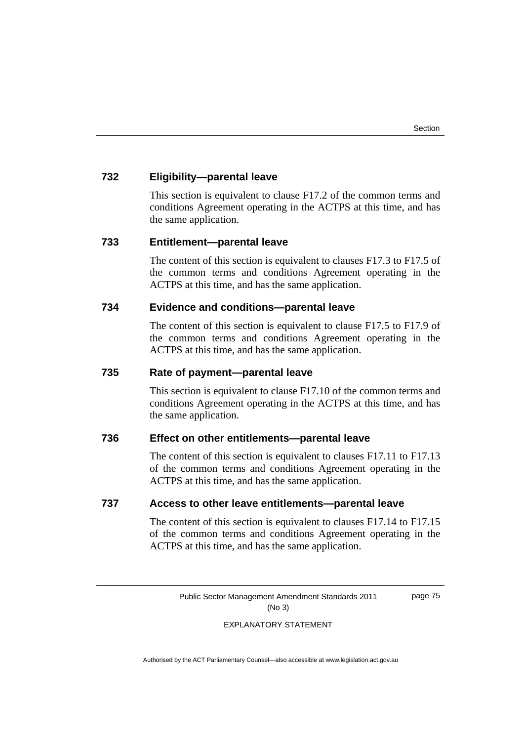# **732 Eligibility—parental leave**

This section is equivalent to clause F17.2 of the common terms and conditions Agreement operating in the ACTPS at this time, and has the same application.

## **733 Entitlement—parental leave**

 The content of this section is equivalent to clauses F17.3 to F17.5 of the common terms and conditions Agreement operating in the ACTPS at this time, and has the same application.

# **734 Evidence and conditions—parental leave**

 The content of this section is equivalent to clause F17.5 to F17.9 of the common terms and conditions Agreement operating in the ACTPS at this time, and has the same application.

# **735 Rate of payment—parental leave**

This section is equivalent to clause F17.10 of the common terms and conditions Agreement operating in the ACTPS at this time, and has the same application.

#### **736 Effect on other entitlements—parental leave**

The content of this section is equivalent to clauses F17.11 to F17.13 of the common terms and conditions Agreement operating in the ACTPS at this time, and has the same application.

### **737 Access to other leave entitlements—parental leave**

 The content of this section is equivalent to clauses F17.14 to F17.15 of the common terms and conditions Agreement operating in the ACTPS at this time, and has the same application.

> Public Sector Management Amendment Standards 2011 (No 3)

page 75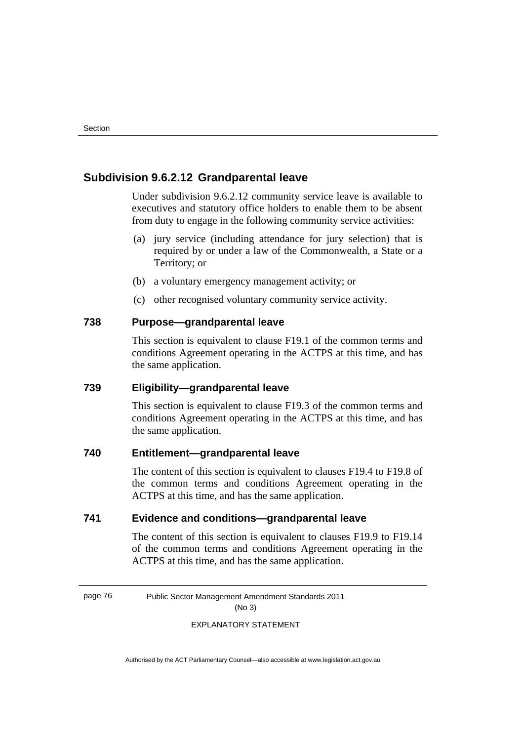# **Subdivision 9.6.2.12 Grandparental leave**

Under subdivision 9.6.2.12 community service leave is available to executives and statutory office holders to enable them to be absent from duty to engage in the following community service activities:

- (a) jury service (including attendance for jury selection) that is required by or under a law of the Commonwealth, a State or a Territory; or
- (b) a voluntary emergency management activity; or
- (c) other recognised voluntary community service activity.

# **738 Purpose—grandparental leave**

This section is equivalent to clause F19.1 of the common terms and conditions Agreement operating in the ACTPS at this time, and has the same application.

#### **739 Eligibility—grandparental leave**

This section is equivalent to clause F19.3 of the common terms and conditions Agreement operating in the ACTPS at this time, and has the same application.

# **740 Entitlement—grandparental leave**

The content of this section is equivalent to clauses F19.4 to F19.8 of the common terms and conditions Agreement operating in the ACTPS at this time, and has the same application.

# **741 Evidence and conditions—grandparental leave**

 The content of this section is equivalent to clauses F19.9 to F19.14 of the common terms and conditions Agreement operating in the ACTPS at this time, and has the same application.

page 76 Public Sector Management Amendment Standards 2011 (No 3)

#### EXPLANATORY STATEMENT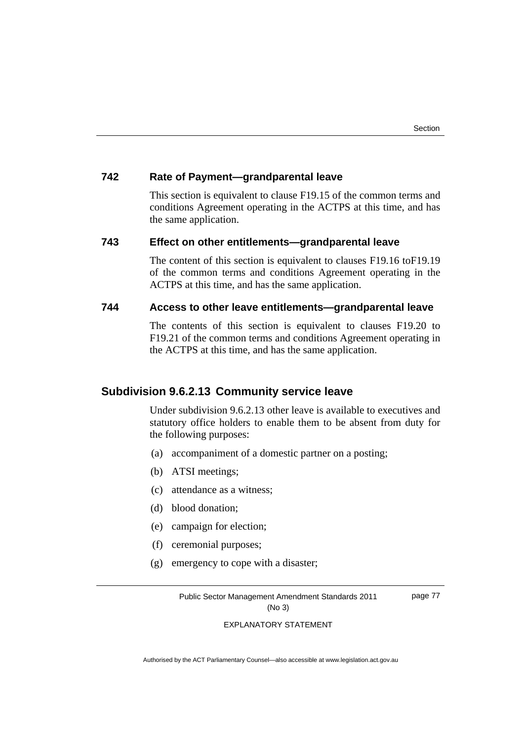# **742 Rate of Payment—grandparental leave**

This section is equivalent to clause F19.15 of the common terms and conditions Agreement operating in the ACTPS at this time, and has the same application.

## **743 Effect on other entitlements—grandparental leave**

 The content of this section is equivalent to clauses F19.16 toF19.19 of the common terms and conditions Agreement operating in the ACTPS at this time, and has the same application.

# **744 Access to other leave entitlements—grandparental leave**

 The contents of this section is equivalent to clauses F19.20 to F19.21 of the common terms and conditions Agreement operating in the ACTPS at this time, and has the same application.

# **Subdivision 9.6.2.13 Community service leave**

Under subdivision 9.6.2.13 other leave is available to executives and statutory office holders to enable them to be absent from duty for the following purposes:

- (a) accompaniment of a domestic partner on a posting;
- (b) ATSI meetings;
- (c) attendance as a witness;
- (d) blood donation;
- (e) campaign for election;
- (f) ceremonial purposes;
- (g) emergency to cope with a disaster;

Public Sector Management Amendment Standards 2011 (No 3)

page 77

EXPLANATORY STATEMENT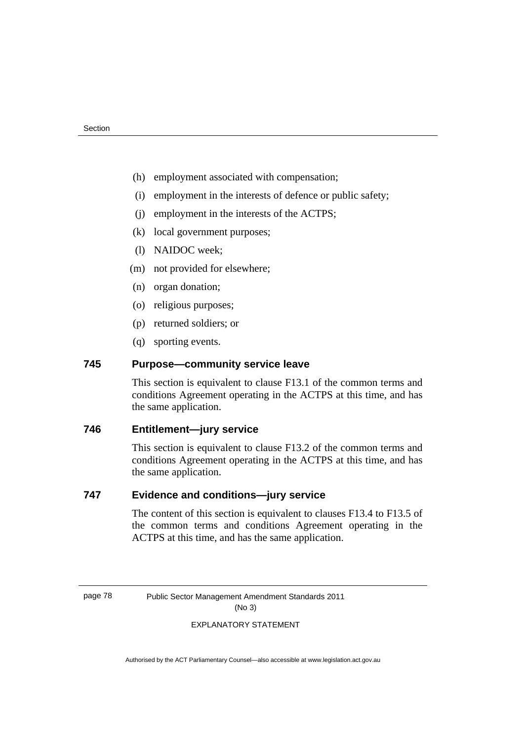- (h) employment associated with compensation;
- (i) employment in the interests of defence or public safety;
- (j) employment in the interests of the ACTPS;
- (k) local government purposes;
- (l) NAIDOC week;
- (m) not provided for elsewhere;
- (n) organ donation;
- (o) religious purposes;
- (p) returned soldiers; or
- (q) sporting events.

# **745 Purpose—community service leave**

This section is equivalent to clause F13.1 of the common terms and conditions Agreement operating in the ACTPS at this time, and has the same application.

## **746 Entitlement—jury service**

This section is equivalent to clause F13.2 of the common terms and conditions Agreement operating in the ACTPS at this time, and has the same application.

# **747 Evidence and conditions—jury service**

 The content of this section is equivalent to clauses F13.4 to F13.5 of the common terms and conditions Agreement operating in the ACTPS at this time, and has the same application.

page 78 Public Sector Management Amendment Standards 2011 (No 3)

#### EXPLANATORY STATEMENT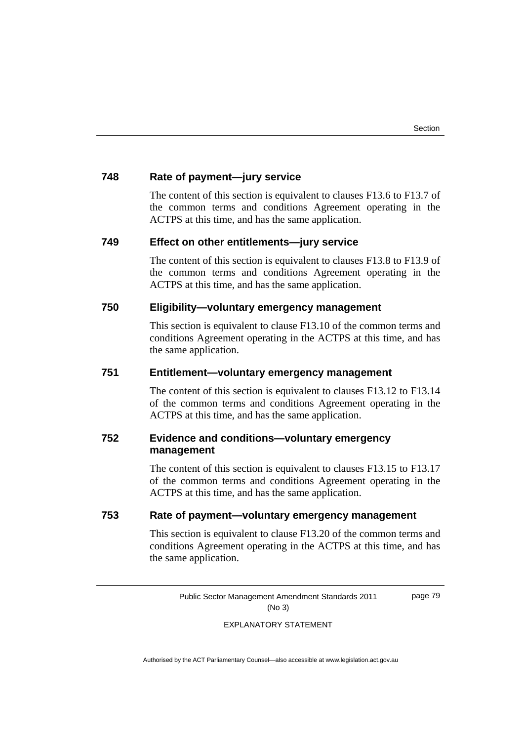# **748 Rate of payment—jury service**

 The content of this section is equivalent to clauses F13.6 to F13.7 of the common terms and conditions Agreement operating in the ACTPS at this time, and has the same application.

## **749 Effect on other entitlements—jury service**

 The content of this section is equivalent to clauses F13.8 to F13.9 of the common terms and conditions Agreement operating in the ACTPS at this time, and has the same application.

# **750 Eligibility—voluntary emergency management**

This section is equivalent to clause F13.10 of the common terms and conditions Agreement operating in the ACTPS at this time, and has the same application.

# **751 Entitlement—voluntary emergency management**

 The content of this section is equivalent to clauses F13.12 to F13.14 of the common terms and conditions Agreement operating in the ACTPS at this time, and has the same application.

# **752 Evidence and conditions—voluntary emergency management**

The content of this section is equivalent to clauses F13.15 to F13.17 of the common terms and conditions Agreement operating in the ACTPS at this time, and has the same application.

# **753 Rate of payment—voluntary emergency management**

This section is equivalent to clause F13.20 of the common terms and conditions Agreement operating in the ACTPS at this time, and has the same application.

Public Sector Management Amendment Standards 2011 (No 3)

page 79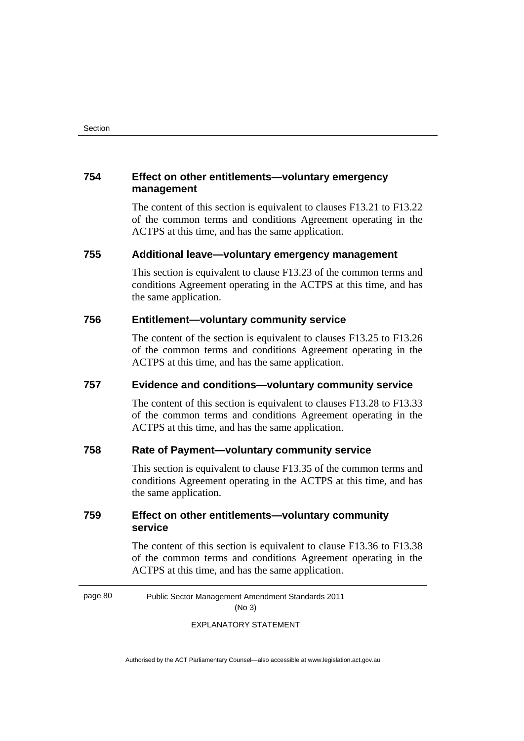# **754 Effect on other entitlements—voluntary emergency management**

 The content of this section is equivalent to clauses F13.21 to F13.22 of the common terms and conditions Agreement operating in the ACTPS at this time, and has the same application.

# **755 Additional leave—voluntary emergency management**

This section is equivalent to clause F13.23 of the common terms and conditions Agreement operating in the ACTPS at this time, and has the same application.

## **756 Entitlement—voluntary community service**

 The content of the section is equivalent to clauses F13.25 to F13.26 of the common terms and conditions Agreement operating in the ACTPS at this time, and has the same application.

# **757 Evidence and conditions—voluntary community service**

 The content of this section is equivalent to clauses F13.28 to F13.33 of the common terms and conditions Agreement operating in the ACTPS at this time, and has the same application.

# **758 Rate of Payment—voluntary community service**

This section is equivalent to clause F13.35 of the common terms and conditions Agreement operating in the ACTPS at this time, and has the same application.

# **759 Effect on other entitlements—voluntary community service**

 The content of this section is equivalent to clause F13.36 to F13.38 of the common terms and conditions Agreement operating in the ACTPS at this time, and has the same application.

page 80 Public Sector Management Amendment Standards 2011 (No 3)

EXPLANATORY STATEMENT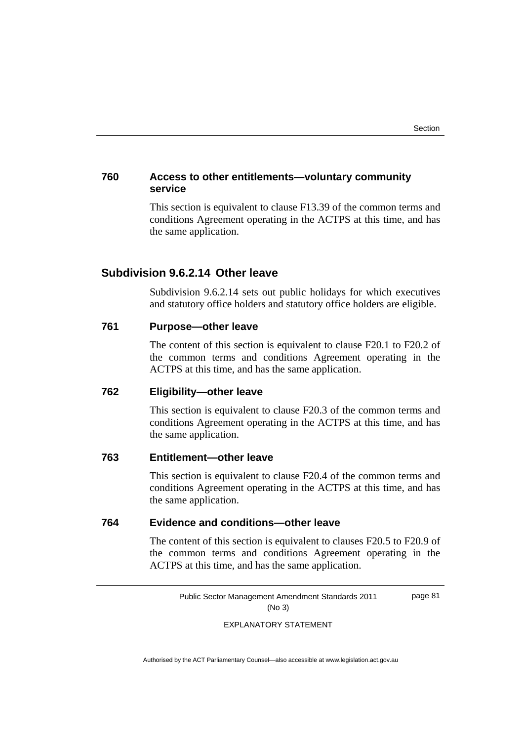# **760 Access to other entitlements—voluntary community service**

This section is equivalent to clause F13.39 of the common terms and conditions Agreement operating in the ACTPS at this time, and has the same application.

# **Subdivision 9.6.2.14 Other leave**

Subdivision 9.6.2.14 sets out public holidays for which executives and statutory office holders and statutory office holders are eligible.

# **761 Purpose—other leave**

The content of this section is equivalent to clause F20.1 to F20.2 of the common terms and conditions Agreement operating in the ACTPS at this time, and has the same application.

# **762 Eligibility—other leave**

 This section is equivalent to clause F20.3 of the common terms and conditions Agreement operating in the ACTPS at this time, and has the same application.

#### **763 Entitlement—other leave**

This section is equivalent to clause F20.4 of the common terms and conditions Agreement operating in the ACTPS at this time, and has the same application.

## **764 Evidence and conditions—other leave**

 The content of this section is equivalent to clauses F20.5 to F20.9 of the common terms and conditions Agreement operating in the ACTPS at this time, and has the same application.

> Public Sector Management Amendment Standards 2011 (No 3) page 81

> > EXPLANATORY STATEMENT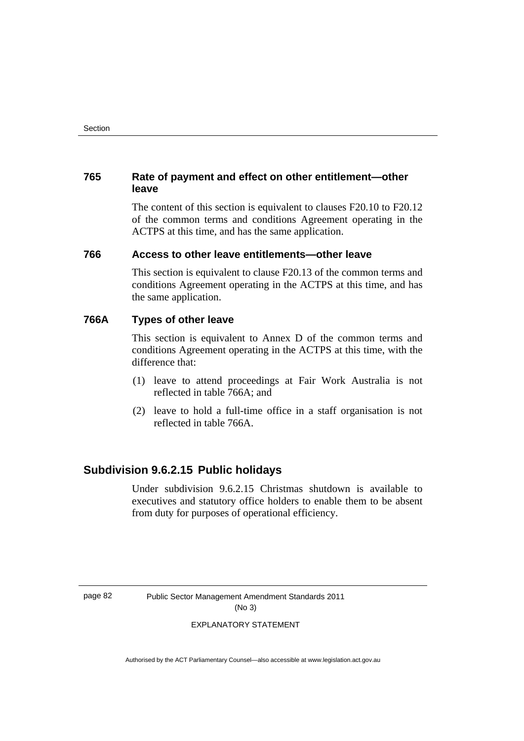# **765 Rate of payment and effect on other entitlement—other leave**

 The content of this section is equivalent to clauses F20.10 to F20.12 of the common terms and conditions Agreement operating in the ACTPS at this time, and has the same application.

# **766 Access to other leave entitlements—other leave**

This section is equivalent to clause F20.13 of the common terms and conditions Agreement operating in the ACTPS at this time, and has the same application.

# **766A Types of other leave**

 This section is equivalent to Annex D of the common terms and conditions Agreement operating in the ACTPS at this time, with the difference that:

- (1) leave to attend proceedings at Fair Work Australia is not reflected in table 766A; and
- (2) leave to hold a full-time office in a staff organisation is not reflected in table 766A.

# **Subdivision 9.6.2.15 Public holidays**

Under subdivision 9.6.2.15 Christmas shutdown is available to executives and statutory office holders to enable them to be absent from duty for purposes of operational efficiency.

page 82 Public Sector Management Amendment Standards 2011 (No 3)

#### EXPLANATORY STATEMENT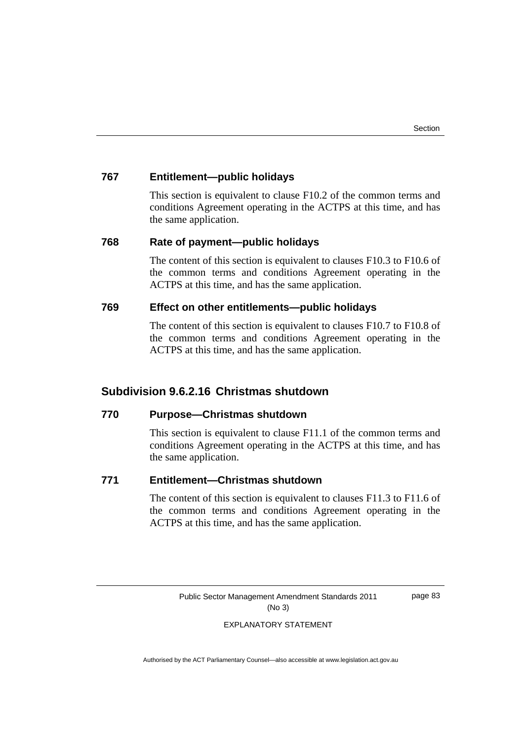# **767 Entitlement—public holidays**

This section is equivalent to clause F10.2 of the common terms and conditions Agreement operating in the ACTPS at this time, and has the same application.

## **768 Rate of payment—public holidays**

 The content of this section is equivalent to clauses F10.3 to F10.6 of the common terms and conditions Agreement operating in the ACTPS at this time, and has the same application.

# **769 Effect on other entitlements—public holidays**

 The content of this section is equivalent to clauses F10.7 to F10.8 of the common terms and conditions Agreement operating in the ACTPS at this time, and has the same application.

# **Subdivision 9.6.2.16 Christmas shutdown**

## **770 Purpose—Christmas shutdown**

This section is equivalent to clause F11.1 of the common terms and conditions Agreement operating in the ACTPS at this time, and has the same application.

# **771 Entitlement—Christmas shutdown**

 The content of this section is equivalent to clauses F11.3 to F11.6 of the common terms and conditions Agreement operating in the ACTPS at this time, and has the same application.

> Public Sector Management Amendment Standards 2011 (No 3)

page 83

#### EXPLANATORY STATEMENT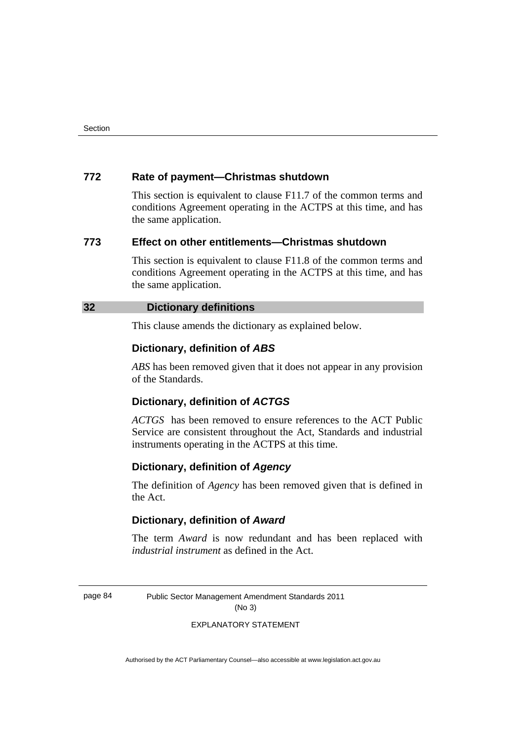# **772 Rate of payment—Christmas shutdown**

This section is equivalent to clause F11.7 of the common terms and conditions Agreement operating in the ACTPS at this time, and has the same application.

# **773 Effect on other entitlements—Christmas shutdown**

This section is equivalent to clause F11.8 of the common terms and conditions Agreement operating in the ACTPS at this time, and has the same application.

# **32 Dictionary definitions**

This clause amends the dictionary as explained below.

### **Dictionary, definition of** *ABS*

*ABS* has been removed given that it does not appear in any provision of the Standards.

#### **Dictionary, definition of** *ACTGS*

*ACTGS* has been removed to ensure references to the ACT Public Service are consistent throughout the Act, Standards and industrial instruments operating in the ACTPS at this time.

## **Dictionary, definition of** *Agency*

The definition of *Agency* has been removed given that is defined in the Act.

#### **Dictionary, definition of** *Award*

The term *Award* is now redundant and has been replaced with *industrial instrument* as defined in the Act.

page 84 Public Sector Management Amendment Standards 2011 (No 3)

#### EXPLANATORY STATEMENT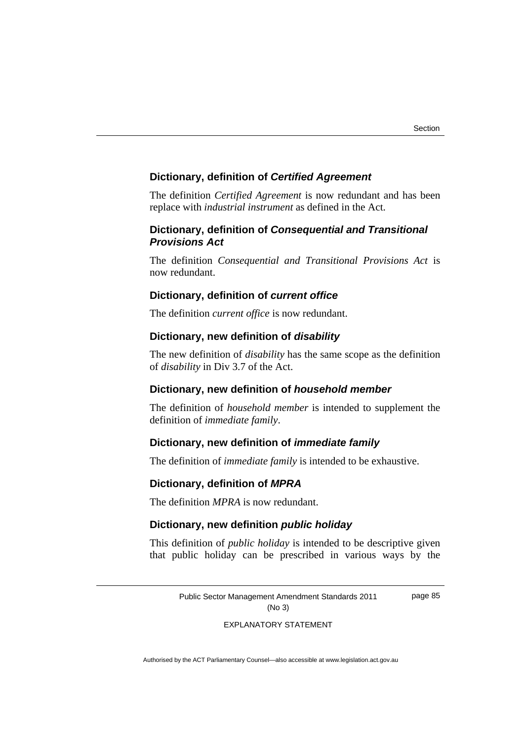page 85

### **Dictionary, definition of** *Certified Agreement*

The definition *Certified Agreement* is now redundant and has been replace with *industrial instrument* as defined in the Act.

## **Dictionary, definition of** *Consequential and Transitional Provisions Act*

The definition *Consequential and Transitional Provisions Act* is now redundant.

# **Dictionary, definition of** *current office*

The definition *current office* is now redundant.

#### **Dictionary, new definition of** *disability*

The new definition of *disability* has the same scope as the definition of *disability* in Div 3.7 of the Act.

# **Dictionary, new definition of** *household member*

The definition of *household member* is intended to supplement the definition of *immediate family*.

# **Dictionary, new definition of** *immediate family*

The definition of *immediate family* is intended to be exhaustive.

#### **Dictionary, definition of** *MPRA*

The definition *MPRA* is now redundant.

# **Dictionary, new definition** *public holiday*

This definition of *public holiday* is intended to be descriptive given that public holiday can be prescribed in various ways by the

> Public Sector Management Amendment Standards 2011 (No 3)